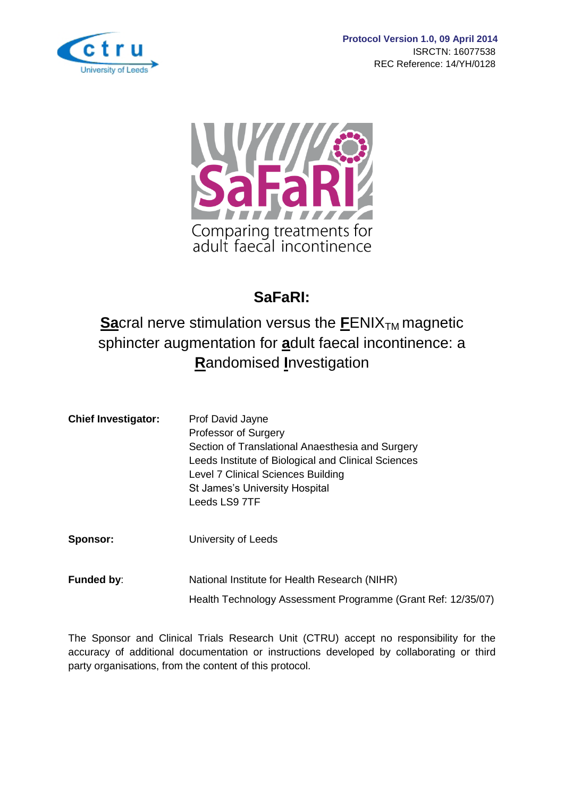



# **SaFaRI:**

# **Sa**cral nerve stimulation versus the **FENIX<sub>TM</sub>** magnetic sphincter augmentation for **a**dult faecal incontinence: a **R**andomised **I**nvestigation

| Section of Translational Anaesthesia and Surgery    |
|-----------------------------------------------------|
| Leeds Institute of Biological and Clinical Sciences |
|                                                     |
|                                                     |
|                                                     |
|                                                     |
|                                                     |

**Sponsor:** University of Leeds

**Funded by:** National Institute for Health Research (NIHR) Health Technology Assessment Programme (Grant Ref: 12/35/07)

The Sponsor and Clinical Trials Research Unit (CTRU) accept no responsibility for the accuracy of additional documentation or instructions developed by collaborating or third party organisations, from the content of this protocol.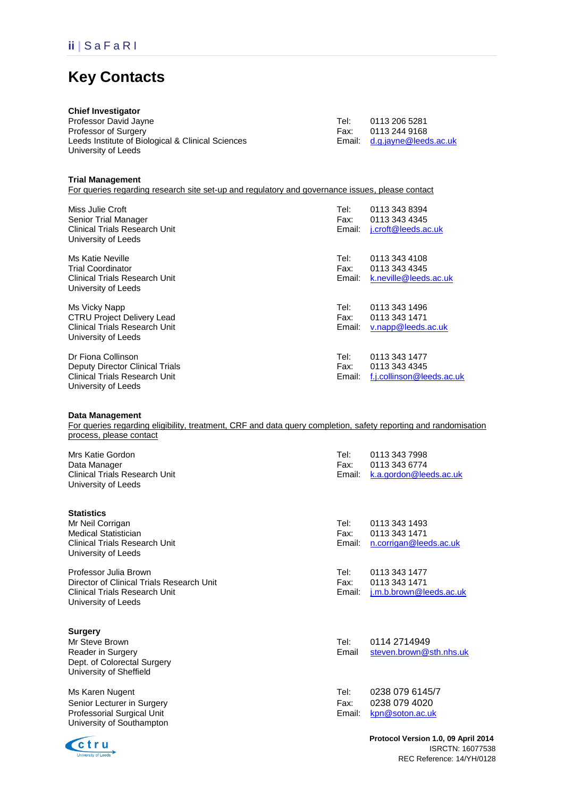# **Key Contacts**

| <b>Chief Investigator</b>                         |      |                              |
|---------------------------------------------------|------|------------------------------|
| Professor David Jayne                             | Tel: | 0113 206 5281                |
| Professor of Surgery                              | Fax: | 0113 244 9168                |
| Leeds Institute of Biological & Clinical Sciences |      | Email: d.g.jayne@leeds.ac.uk |
| University of Leeds                               |      |                              |
|                                                   |      |                              |

#### **Trial Management**

For queries regarding research site set-up and regulatory and governance issues, please contact

| Miss Julie Croft<br>Senior Trial Manager<br><b>Clinical Trials Research Unit</b><br>University of Leeds              | Tel:<br>Fax:<br>Email: | 0113 343 8394<br>0113 343 4345<br>j.croft@leeds.ac.uk       |
|----------------------------------------------------------------------------------------------------------------------|------------------------|-------------------------------------------------------------|
| Ms Katie Neville<br><b>Trial Coordinator</b><br>Clinical Trials Research Unit<br>University of Leeds                 | Tel:<br>Fax:<br>Email: | 0113 343 4108<br>0113 343 4345<br>k.neville@leeds.ac.uk     |
| Ms Vicky Napp<br><b>CTRU Project Delivery Lead</b><br><b>Clinical Trials Research Unit</b><br>University of Leeds    | Tel:<br>Fax:<br>Email: | 0113 343 1496<br>0113 343 1471<br>v.napp@leeds.ac.uk        |
| Dr Fiona Collinson<br>Deputy Director Clinical Trials<br><b>Clinical Trials Research Unit</b><br>University of Leeds | Tel:<br>Fax:<br>Email: | 0113 343 1477<br>0113 343 4345<br>f.j.collinson@leeds.ac.uk |

#### **Data Management**

For queries regarding eligibility, treatment, CRF and data query completion, safety reporting and randomisation process, please contact

| Mrs Katie Gordon<br>Data Manager<br><b>Clinical Trials Research Unit</b><br>University of Leeds                                   | Tel:<br>Fax:<br>Email: | 0113 343 7998<br>0113 343 6774<br>k.a.gordon@leeds.ac.uk  |
|-----------------------------------------------------------------------------------------------------------------------------------|------------------------|-----------------------------------------------------------|
| <b>Statistics</b><br>Mr Neil Corrigan<br><b>Medical Statistician</b><br>Clinical Trials Research Unit<br>University of Leeds      | Tel:<br>Fax:<br>Email: | 0113 343 1493<br>0113 343 1471<br>n.corrigan@leeds.ac.uk  |
| Professor Julia Brown<br>Director of Clinical Trials Research Unit<br><b>Clinical Trials Research Unit</b><br>University of Leeds | Tel:<br>Fax:<br>Email: | 0113 343 1477<br>0113 343 1471<br>j.m.b.brown@leeds.ac.uk |
| <b>Surgery</b><br>Mr Steve Brown<br>Reader in Surgery<br>Dept. of Colorectal Surgery<br>University of Sheffield                   | Tel:<br>Email          | 0114 2714949<br>steven.brown@sth.nhs.uk                   |
| Ms Karen Nugent<br>Senior Lecturer in Surgery<br>Professorial Surgical Unit<br>University of Southampton                          | Tel:<br>Fax:<br>Email: | 0238 079 6145/7<br>0238 079 4020<br>kpn@soton.ac.uk       |



 **Protocol Version 1.0, 09 April 2014** ISRCTN: 16077538 REC Reference: 14/YH/0128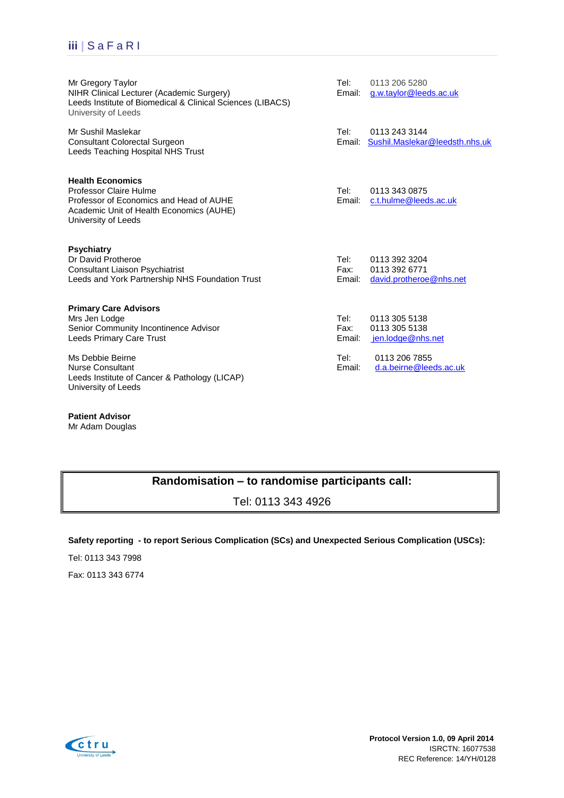## **iii |** S a F a R I

| Mr Gregory Taylor<br>NIHR Clinical Lecturer (Academic Surgery)<br>Leeds Institute of Biomedical & Clinical Sciences (LIBACS)<br>University of Leeds                    | Tel:<br>Email:         | 0113 206 5280<br>g.w.taylor@leeds.ac.uk                   |
|------------------------------------------------------------------------------------------------------------------------------------------------------------------------|------------------------|-----------------------------------------------------------|
| Mr Sushil Maslekar<br><b>Consultant Colorectal Surgeon</b><br>Leeds Teaching Hospital NHS Trust                                                                        | Tel:<br>Email:         | 0113 243 3144<br>Sushil.Maslekar@leedsth.nhs.uk           |
| <b>Health Economics</b><br><b>Professor Claire Hulme</b><br>Professor of Economics and Head of AUHE<br>Academic Unit of Health Economics (AUHE)<br>University of Leeds | Tel:<br>Email:         | 0113 343 0875<br>c.t.hulme@leeds.ac.uk                    |
| <b>Psychiatry</b><br>Dr David Protheroe<br><b>Consultant Liaison Psychiatrist</b><br>Leeds and York Partnership NHS Foundation Trust                                   | Tel:<br>Fax:<br>Email: | 0113 392 3204<br>0113 392 6771<br>david.protheroe@nhs.net |
| <b>Primary Care Advisors</b><br>Mrs Jen Lodge<br>Senior Community Incontinence Advisor<br>Leeds Primary Care Trust                                                     | Tel:<br>Fax:<br>Email: | 0113 305 5138<br>0113 305 5138<br>jen.lodge@nhs.net       |
| Ms Debbie Beirne<br><b>Nurse Consultant</b><br>Leeds Institute of Cancer & Pathology (LICAP)<br>University of Leeds                                                    | Tel:<br>Email:         | 0113 206 7855<br>d.a.beirne@leeds.ac.uk                   |

**Patient Advisor** Mr Adam Douglas

### **Randomisation – to randomise participants call:**

Tel: 0113 343 4926

### **Safety reporting - to report Serious Complication (SCs) and Unexpected Serious Complication (USCs):**

Tel: 0113 343 7998

Fax: 0113 343 6774

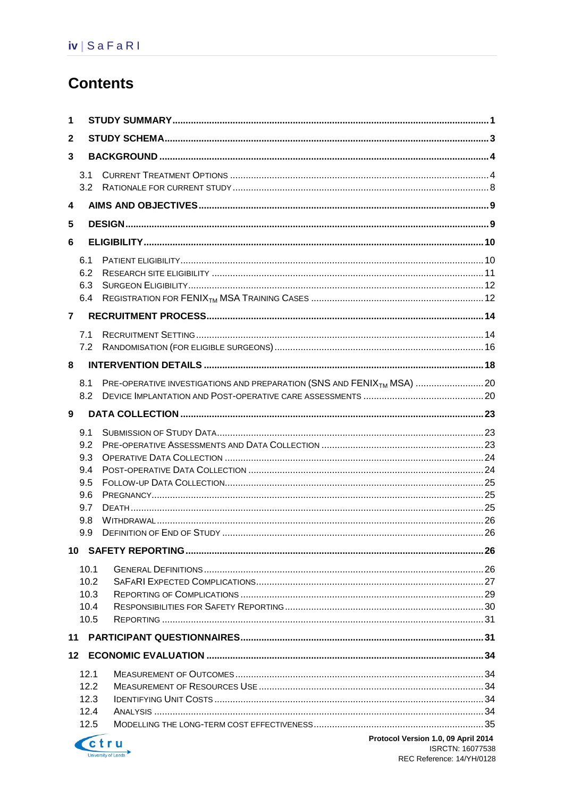# **Contents**

| 1              |                          |                                                                                   |  |  |  |  |
|----------------|--------------------------|-----------------------------------------------------------------------------------|--|--|--|--|
| $\mathbf{2}$   |                          |                                                                                   |  |  |  |  |
| 3              |                          |                                                                                   |  |  |  |  |
|                | 3.1<br>3.2               |                                                                                   |  |  |  |  |
| 4              |                          |                                                                                   |  |  |  |  |
|                |                          |                                                                                   |  |  |  |  |
| 5              |                          |                                                                                   |  |  |  |  |
| 6              |                          |                                                                                   |  |  |  |  |
|                | 6.1<br>6.2<br>6.3<br>6.4 |                                                                                   |  |  |  |  |
| $\overline{7}$ |                          |                                                                                   |  |  |  |  |
|                | 7.1<br>7.2               |                                                                                   |  |  |  |  |
| 8              |                          |                                                                                   |  |  |  |  |
|                | 8.1<br>8.2               | PRE-OPERATIVE INVESTIGATIONS AND PREPARATION (SNS AND FENIX <sub>TM</sub> MSA) 20 |  |  |  |  |
| 9              |                          |                                                                                   |  |  |  |  |
|                | 9.1<br>9.2               |                                                                                   |  |  |  |  |
|                | 9.3<br>9.4               |                                                                                   |  |  |  |  |
|                | 9.5                      |                                                                                   |  |  |  |  |
|                | 9.6                      |                                                                                   |  |  |  |  |
|                | 9.7                      |                                                                                   |  |  |  |  |
|                | 9.8<br>9.9               |                                                                                   |  |  |  |  |
|                |                          |                                                                                   |  |  |  |  |
|                | 10.1                     |                                                                                   |  |  |  |  |
|                | 10.2                     |                                                                                   |  |  |  |  |
|                | 10.3<br>10.4             |                                                                                   |  |  |  |  |
|                | 10.5                     |                                                                                   |  |  |  |  |
|                |                          |                                                                                   |  |  |  |  |
| $12 \,$        |                          |                                                                                   |  |  |  |  |
|                | 12.1                     |                                                                                   |  |  |  |  |
|                | 12.2                     |                                                                                   |  |  |  |  |
|                | 12.3                     |                                                                                   |  |  |  |  |
|                | 12.4                     |                                                                                   |  |  |  |  |
|                | 12.5                     |                                                                                   |  |  |  |  |
|                | - 1                      | Protocol Version 1.0, 09 Anril 2014                                               |  |  |  |  |

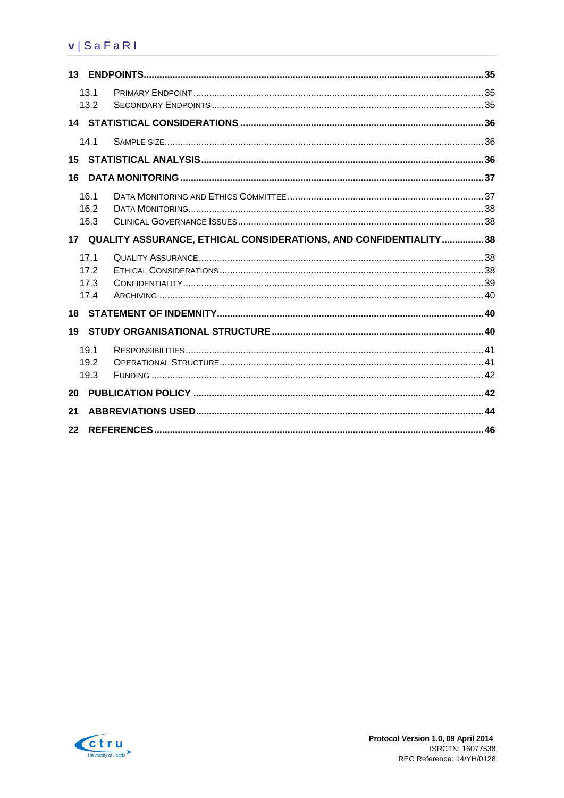## $v | S a F a R$

|    | 13.1<br>13.2 |                                                                     |  |
|----|--------------|---------------------------------------------------------------------|--|
|    |              |                                                                     |  |
|    | 14.1         |                                                                     |  |
| 15 |              |                                                                     |  |
| 16 |              |                                                                     |  |
|    | 16.1         |                                                                     |  |
|    | 16.2         |                                                                     |  |
|    | 16.3         |                                                                     |  |
|    |              | 17 QUALITY ASSURANCE, ETHICAL CONSIDERATIONS, AND CONFIDENTIALITY38 |  |
|    | 17.1         |                                                                     |  |
|    | 17.2         |                                                                     |  |
|    | 17.3         |                                                                     |  |
|    | 17.4         |                                                                     |  |
| 18 |              |                                                                     |  |
| 19 |              |                                                                     |  |
|    | 19.1         |                                                                     |  |
|    | 19.2         |                                                                     |  |
|    | 19.3         |                                                                     |  |
| 20 |              |                                                                     |  |
| 21 |              |                                                                     |  |
| 22 |              |                                                                     |  |

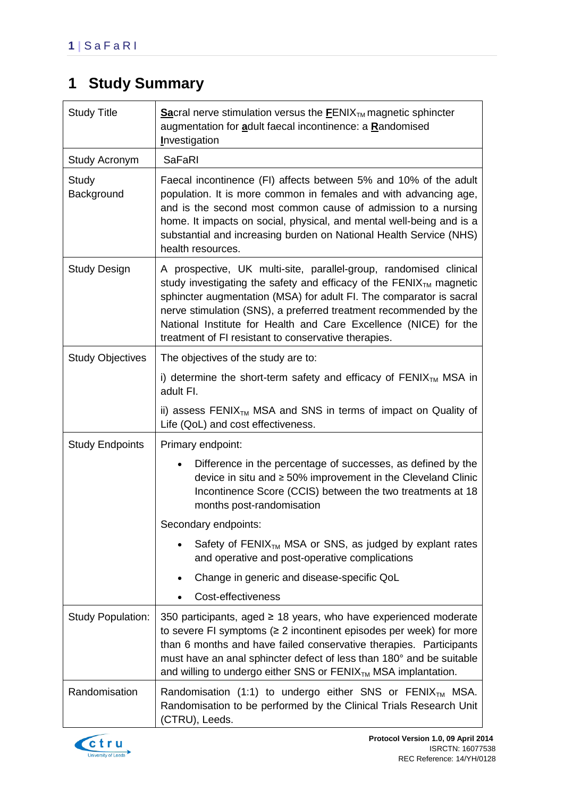# <span id="page-5-0"></span>**1 Study Summary**

| <b>Study Title</b>       | <b>Sacral nerve stimulation versus the <math>EENIXTM</math> magnetic sphincter</b><br>augmentation for adult faecal incontinence: a Randomised<br><b>Investigation</b>                                                                                                                                                                                                                                                 |  |  |  |
|--------------------------|------------------------------------------------------------------------------------------------------------------------------------------------------------------------------------------------------------------------------------------------------------------------------------------------------------------------------------------------------------------------------------------------------------------------|--|--|--|
| Study Acronym            | <b>SaFaRI</b>                                                                                                                                                                                                                                                                                                                                                                                                          |  |  |  |
| Study<br>Background      | Faecal incontinence (FI) affects between 5% and 10% of the adult<br>population. It is more common in females and with advancing age,<br>and is the second most common cause of admission to a nursing<br>home. It impacts on social, physical, and mental well-being and is a<br>substantial and increasing burden on National Health Service (NHS)<br>health resources.                                               |  |  |  |
| <b>Study Design</b>      | A prospective, UK multi-site, parallel-group, randomised clinical<br>study investigating the safety and efficacy of the FENI $X_{TM}$ magnetic<br>sphincter augmentation (MSA) for adult FI. The comparator is sacral<br>nerve stimulation (SNS), a preferred treatment recommended by the<br>National Institute for Health and Care Excellence (NICE) for the<br>treatment of FI resistant to conservative therapies. |  |  |  |
| <b>Study Objectives</b>  | The objectives of the study are to:                                                                                                                                                                                                                                                                                                                                                                                    |  |  |  |
|                          | i) determine the short-term safety and efficacy of $FENIXTM MSA$ in<br>adult FI.                                                                                                                                                                                                                                                                                                                                       |  |  |  |
|                          | ii) assess FENIX <sub>TM</sub> MSA and SNS in terms of impact on Quality of<br>Life (QoL) and cost effectiveness.                                                                                                                                                                                                                                                                                                      |  |  |  |
| <b>Study Endpoints</b>   | Primary endpoint:                                                                                                                                                                                                                                                                                                                                                                                                      |  |  |  |
|                          | Difference in the percentage of successes, as defined by the<br>device in situ and $\geq 50\%$ improvement in the Cleveland Clinic<br>Incontinence Score (CCIS) between the two treatments at 18<br>months post-randomisation                                                                                                                                                                                          |  |  |  |
|                          | Secondary endpoints:                                                                                                                                                                                                                                                                                                                                                                                                   |  |  |  |
|                          | Safety of $FENIX_{TM}$ MSA or SNS, as judged by explant rates<br>and operative and post-operative complications                                                                                                                                                                                                                                                                                                        |  |  |  |
|                          | Change in generic and disease-specific QoL                                                                                                                                                                                                                                                                                                                                                                             |  |  |  |
|                          | Cost-effectiveness                                                                                                                                                                                                                                                                                                                                                                                                     |  |  |  |
| <b>Study Population:</b> | 350 participants, aged ≥ 18 years, who have experienced moderate<br>to severe FI symptoms ( $\geq 2$ incontinent episodes per week) for more<br>than 6 months and have failed conservative therapies. Participants<br>must have an anal sphincter defect of less than 180° and be suitable<br>and willing to undergo either SNS or $FENIXTM MSA$ implantation.                                                         |  |  |  |
| Randomisation            | Randomisation (1:1) to undergo either SNS or FENIX <sub>TM</sub> MSA.<br>Randomisation to be performed by the Clinical Trials Research Unit<br>(CTRU), Leeds.                                                                                                                                                                                                                                                          |  |  |  |

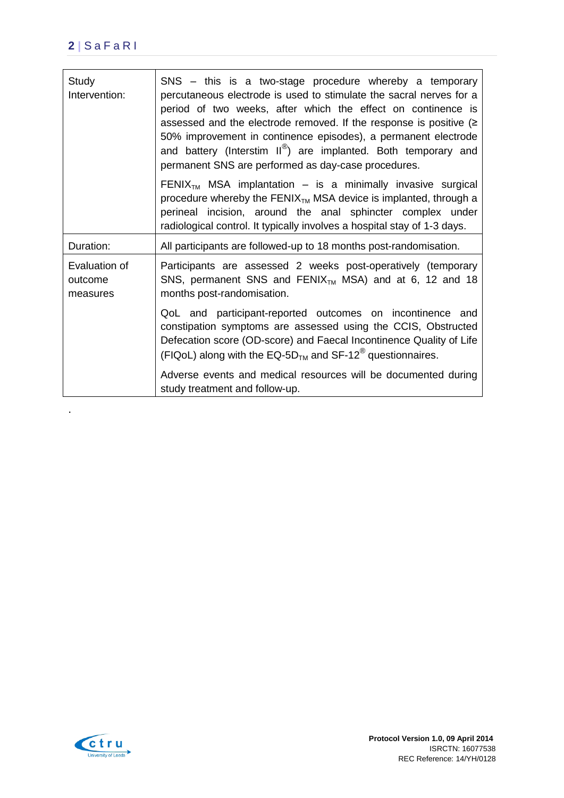## **2 |** S a F a R I

| Study<br>Intervention:               | SNS – this is a two-stage procedure whereby a temporary<br>percutaneous electrode is used to stimulate the sacral nerves for a<br>period of two weeks, after which the effect on continence is<br>assessed and the electrode removed. If the response is positive $( \geq$<br>50% improvement in continence episodes), a permanent electrode<br>and battery (Interstim II <sup>®</sup> ) are implanted. Both temporary and<br>permanent SNS are performed as day-case procedures. |
|--------------------------------------|-----------------------------------------------------------------------------------------------------------------------------------------------------------------------------------------------------------------------------------------------------------------------------------------------------------------------------------------------------------------------------------------------------------------------------------------------------------------------------------|
|                                      | FENIX <sub>TM</sub> MSA implantation $-$ is a minimally invasive surgical<br>procedure whereby the $FENIX_{TM}$ MSA device is implanted, through a<br>perineal incision, around the anal sphincter complex under<br>radiological control. It typically involves a hospital stay of 1-3 days.                                                                                                                                                                                      |
| Duration:                            | All participants are followed-up to 18 months post-randomisation.                                                                                                                                                                                                                                                                                                                                                                                                                 |
| Evaluation of<br>outcome<br>measures | Participants are assessed 2 weeks post-operatively (temporary<br>SNS, permanent SNS and $FENIX_{TM}$ MSA) and at 6, 12 and 18<br>months post-randomisation.                                                                                                                                                                                                                                                                                                                       |
|                                      | QoL and participant-reported outcomes on incontinence and<br>constipation symptoms are assessed using the CCIS, Obstructed<br>Defecation score (OD-score) and Faecal Incontinence Quality of Life<br>(FIQoL) along with the EQ-5D <sub>TM</sub> and SF-12 <sup>®</sup> questionnaires.                                                                                                                                                                                            |
|                                      | Adverse events and medical resources will be documented during<br>study treatment and follow-up.                                                                                                                                                                                                                                                                                                                                                                                  |



.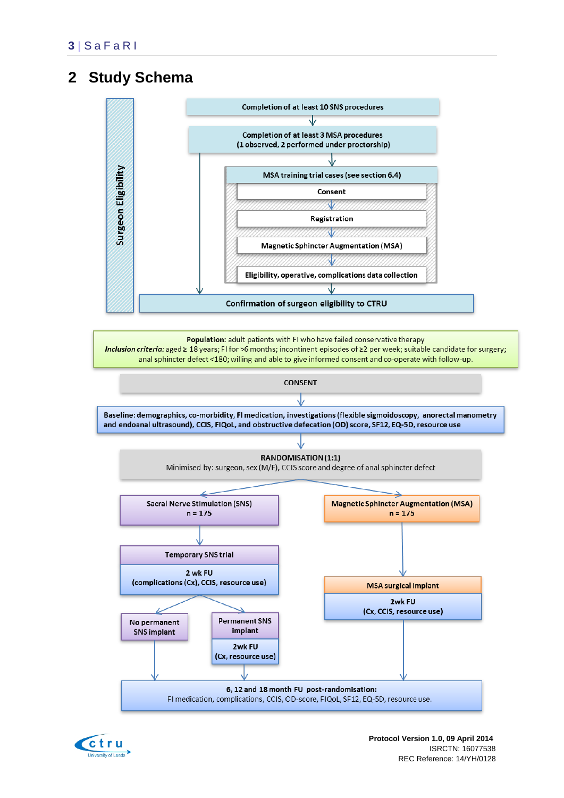# <span id="page-7-0"></span>**2 Study Schema**



Population: adult patients with FI who have failed conservative therapy Inclusion criteria: aged ≥ 18 years; FI for >6 months; incontinent episodes of ≥2 per week; suitable candidate for surgery; anal sphincter defect <180; willing and able to give informed consent and co-operate with follow-up.



FI medication, complications, CCIS, OD-score, FIQoL, SF12, EQ-5D, resource use.

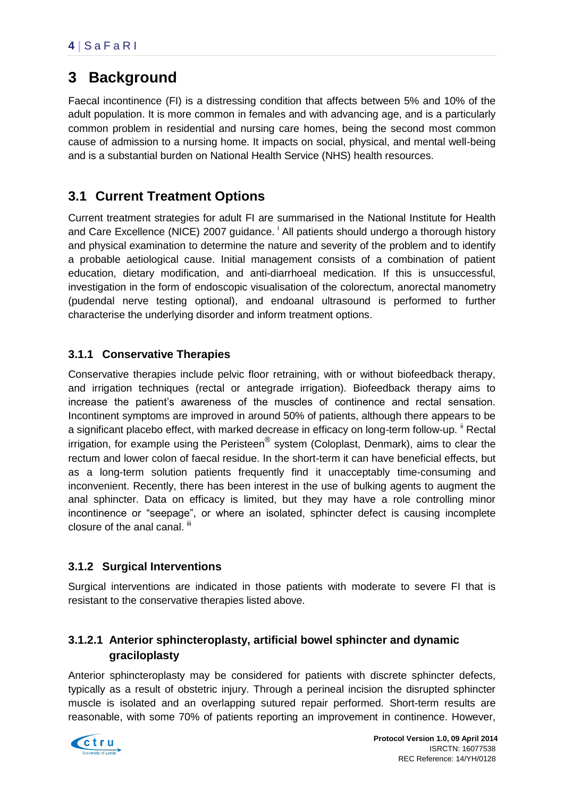# <span id="page-8-0"></span>**3 Background**

Faecal incontinence (FI) is a distressing condition that affects between 5% and 10% of the adult population. It is more common in females and with advancing age, and is a particularly common problem in residential and nursing care homes, being the second most common cause of admission to a nursing home. It impacts on social, physical, and mental well-being and is a substantial burden on National Health Service (NHS) health resources.

# <span id="page-8-1"></span>**3.1 Current Treatment Options**

Current treatment strategies for adult FI are summarised in the National Institute for Health and Care Excellence (NICE) 2007 guidance. <sup>i</sup> All patients should undergo a thorough history and physical examination to determine the nature and severity of the problem and to identify a probable aetiological cause. Initial management consists of a combination of patient education, dietary modification, and anti-diarrhoeal medication. If this is unsuccessful, investigation in the form of endoscopic visualisation of the colorectum, anorectal manometry (pudendal nerve testing optional), and endoanal ultrasound is performed to further characterise the underlying disorder and inform treatment options.

### **3.1.1 Conservative Therapies**

Conservative therapies include pelvic floor retraining, with or without biofeedback therapy, and irrigation techniques (rectal or antegrade irrigation). Biofeedback therapy aims to increase the patient's awareness of the muscles of continence and rectal sensation. Incontinent symptoms are improved in around 50% of patients, although there appears to be a significant placebo effect, with marked decrease in efficacy on long-term follow-up. <sup>ii</sup> Rectal irrigation, for example using the Peristeen® system (Coloplast, Denmark), aims to clear the rectum and lower colon of faecal residue. In the short-term it can have beneficial effects, but as a long-term solution patients frequently find it unacceptably time-consuming and inconvenient. Recently, there has been interest in the use of bulking agents to augment the anal sphincter. Data on efficacy is limited, but they may have a role controlling minor incontinence or "seepage", or where an isolated, sphincter defect is causing incomplete closure of the anal canal. iii

### **3.1.2 Surgical Interventions**

Surgical interventions are indicated in those patients with moderate to severe FI that is resistant to the conservative therapies listed above.

### **3.1.2.1 Anterior sphincteroplasty, artificial bowel sphincter and dynamic graciloplasty**

Anterior sphincteroplasty may be considered for patients with discrete sphincter defects, typically as a result of obstetric injury. Through a perineal incision the disrupted sphincter muscle is isolated and an overlapping sutured repair performed. Short-term results are reasonable, with some 70% of patients reporting an improvement in continence. However,

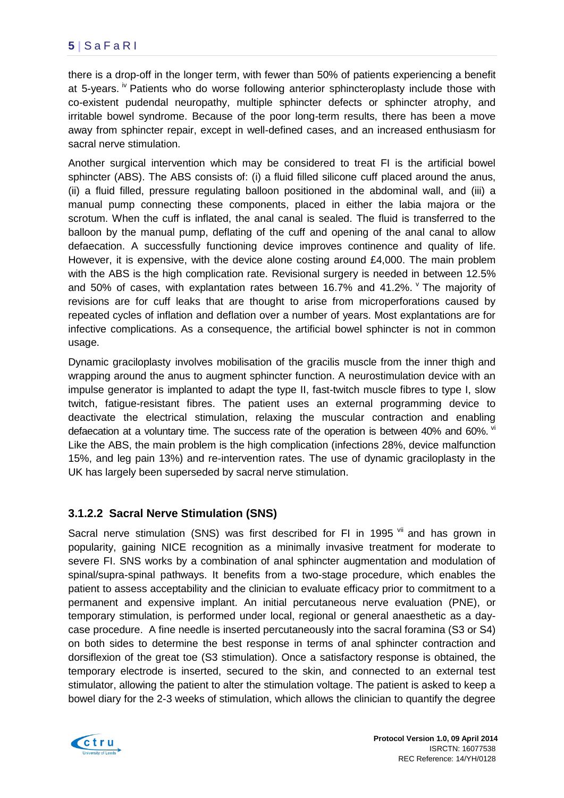### **5 |** S a F a R I

there is a drop-off in the longer term, with fewer than 50% of patients experiencing a benefit at 5-years. <sup>iv</sup> Patients who do worse following anterior sphincteroplasty include those with co-existent pudendal neuropathy, multiple sphincter defects or sphincter atrophy, and irritable bowel syndrome. Because of the poor long-term results, there has been a move away from sphincter repair, except in well-defined cases, and an increased enthusiasm for sacral nerve stimulation.

Another surgical intervention which may be considered to treat FI is the artificial bowel sphincter (ABS). The ABS consists of: (i) a fluid filled silicone cuff placed around the anus, (ii) a fluid filled, pressure regulating balloon positioned in the abdominal wall, and (iii) a manual pump connecting these components, placed in either the labia majora or the scrotum. When the cuff is inflated, the anal canal is sealed. The fluid is transferred to the balloon by the manual pump, deflating of the cuff and opening of the anal canal to allow defaecation. A successfully functioning device improves continence and quality of life. However, it is expensive, with the device alone costing around £4,000. The main problem with the ABS is the high complication rate. Revisional surgery is needed in between 12.5% and 50% of cases, with explantation rates between 16.7% and 41.2%.  $V$  The majority of revisions are for cuff leaks that are thought to arise from microperforations caused by repeated cycles of inflation and deflation over a number of years. Most explantations are for infective complications. As a consequence, the artificial bowel sphincter is not in common usage.

Dynamic graciloplasty involves mobilisation of the gracilis muscle from the inner thigh and wrapping around the anus to augment sphincter function. A neurostimulation device with an impulse generator is implanted to adapt the type II, fast-twitch muscle fibres to type I, slow twitch, fatigue-resistant fibres. The patient uses an external programming device to deactivate the electrical stimulation, relaxing the muscular contraction and enabling defaecation at a voluntary time. The success rate of the operation is between 40% and 60%. vi Like the ABS, the main problem is the high complication (infections 28%, device malfunction 15%, and leg pain 13%) and re-intervention rates. The use of dynamic graciloplasty in the UK has largely been superseded by sacral nerve stimulation.

### **3.1.2.2 Sacral Nerve Stimulation (SNS)**

Sacral nerve stimulation (SNS) was first described for FI in 1995  $\frac{v}{v}$  and has grown in popularity, gaining NICE recognition as a minimally invasive treatment for moderate to severe FI. SNS works by a combination of anal sphincter augmentation and modulation of spinal/supra-spinal pathways. It benefits from a two-stage procedure, which enables the patient to assess acceptability and the clinician to evaluate efficacy prior to commitment to a permanent and expensive implant. An initial percutaneous nerve evaluation (PNE), or temporary stimulation, is performed under local, regional or general anaesthetic as a daycase procedure. A fine needle is inserted percutaneously into the sacral foramina (S3 or S4) on both sides to determine the best response in terms of anal sphincter contraction and dorsiflexion of the great toe (S3 stimulation). Once a satisfactory response is obtained, the temporary electrode is inserted, secured to the skin, and connected to an external test stimulator, allowing the patient to alter the stimulation voltage. The patient is asked to keep a bowel diary for the 2-3 weeks of stimulation, which allows the clinician to quantify the degree

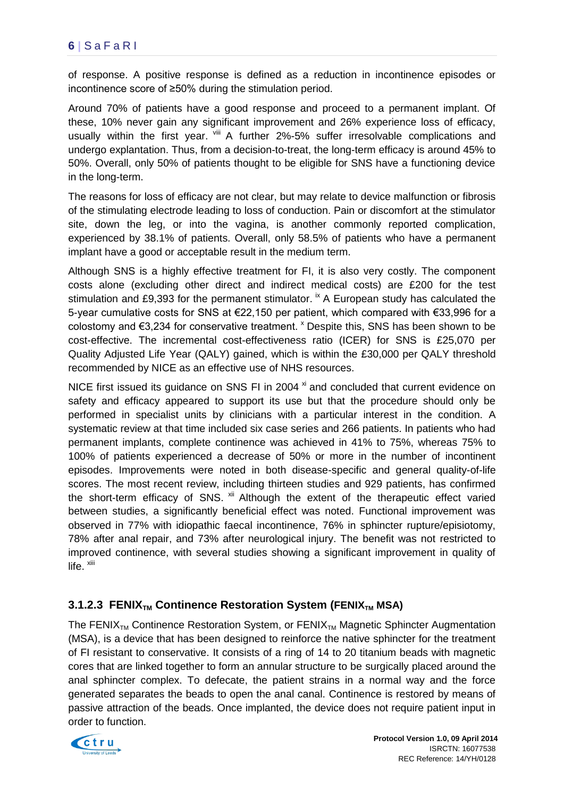of response. A positive response is defined as a reduction in incontinence episodes or incontinence score of ≥50% during the stimulation period.

Around 70% of patients have a good response and proceed to a permanent implant. Of these, 10% never gain any significant improvement and 26% experience loss of efficacy, usually within the first year. Vill A further 2%-5% suffer irresolvable complications and undergo explantation. Thus, from a decision-to-treat, the long-term efficacy is around 45% to 50%. Overall, only 50% of patients thought to be eligible for SNS have a functioning device in the long-term.

The reasons for loss of efficacy are not clear, but may relate to device malfunction or fibrosis of the stimulating electrode leading to loss of conduction. Pain or discomfort at the stimulator site, down the leg, or into the vagina, is another commonly reported complication, experienced by 38.1% of patients. Overall, only 58.5% of patients who have a permanent implant have a good or acceptable result in the medium term.

Although SNS is a highly effective treatment for FI, it is also very costly. The component costs alone (excluding other direct and indirect medical costs) are £200 for the test stimulation and £9,393 for the permanent stimulator.  $\dot{R}$  A European study has calculated the 5-year cumulative costs for SNS at €22,150 per patient, which compared with €33,996 for a colostomy and €3,234 for conservative treatment. <sup>x</sup> Despite this, SNS has been shown to be cost-effective. The incremental cost-effectiveness ratio (ICER) for SNS is £25,070 per Quality Adjusted Life Year (QALY) gained, which is within the £30,000 per QALY threshold recommended by NICE as an effective use of NHS resources.

NICE first issued its guidance on SNS FI in 2004<sup>xi</sup> and concluded that current evidence on safety and efficacy appeared to support its use but that the procedure should only be performed in specialist units by clinicians with a particular interest in the condition. A systematic review at that time included six case series and 266 patients. In patients who had permanent implants, complete continence was achieved in 41% to 75%, whereas 75% to 100% of patients experienced a decrease of 50% or more in the number of incontinent episodes. Improvements were noted in both disease-specific and general quality-of-life scores. The most recent review, including thirteen studies and 929 patients, has confirmed the short-term efficacy of SNS. <sup>xii</sup> Although the extent of the therapeutic effect varied between studies, a significantly beneficial effect was noted. Functional improvement was observed in 77% with idiopathic faecal incontinence, 76% in sphincter rupture/episiotomy, 78% after anal repair, and 73% after neurological injury. The benefit was not restricted to improved continence, with several studies showing a significant improvement in quality of life. <sup>xiii</sup>

### **3.1.2.3 FENIX<sub>TM</sub> Continence Restoration System (FENIX<sub>TM</sub> MSA)**

The FENIX<sub>TM</sub> Continence Restoration System, or FENIX<sub>TM</sub> Magnetic Sphincter Augmentation (MSA), is a device that has been designed to reinforce the native sphincter for the treatment of FI resistant to conservative. It consists of a ring of 14 to 20 titanium beads with magnetic cores that are linked together to form an annular structure to be surgically placed around the anal sphincter complex. To defecate, the patient strains in a normal way and the force generated separates the beads to open the anal canal. Continence is restored by means of passive attraction of the beads. Once implanted, the device does not require patient input in order to function.



 **Protocol Version 1.0, 09 April 2014** ISRCTN: 16077538 REC Reference: 14/YH/0128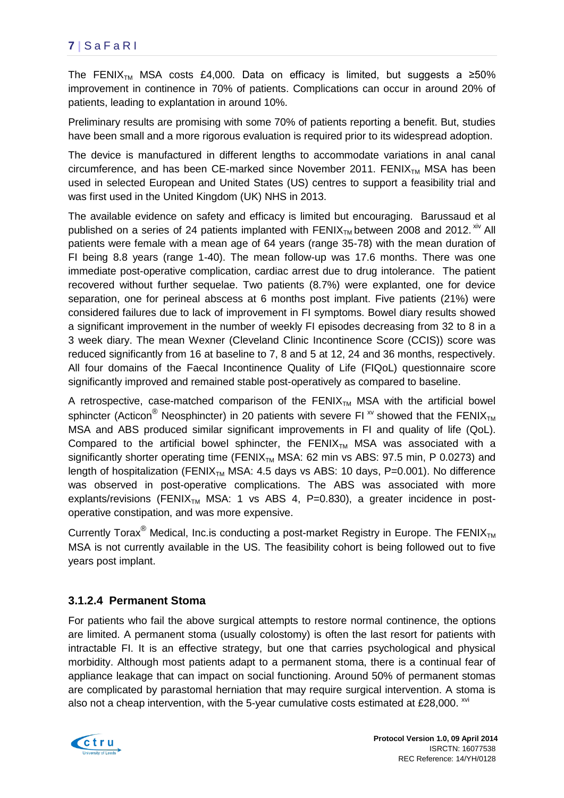## **7 |** S a F a R I

The FENIX<sub>TM</sub> MSA costs £4,000. Data on efficacy is limited, but suggests a ≥50% improvement in continence in 70% of patients. Complications can occur in around 20% of patients, leading to explantation in around 10%.

Preliminary results are promising with some 70% of patients reporting a benefit. But, studies have been small and a more rigorous evaluation is required prior to its widespread adoption.

The device is manufactured in different lengths to accommodate variations in anal canal circumference, and has been CE-marked since November 2011. FENI $X_{TM}$  MSA has been used in selected European and United States (US) centres to support a feasibility trial and was first used in the United Kingdom (UK) NHS in 2013.

The available evidence on safety and efficacy is limited but encouraging. Barussaud et al published on a series of 24 patients implanted with  $FENIX<sub>TM</sub>$  between 2008 and 2012. xiv All patients were female with a mean age of 64 years (range 35-78) with the mean duration of FI being 8.8 years (range 1-40). The mean follow-up was 17.6 months. There was one immediate post-operative complication, cardiac arrest due to drug intolerance. The patient recovered without further sequelae. Two patients (8.7%) were explanted, one for device separation, one for perineal abscess at 6 months post implant. Five patients (21%) were considered failures due to lack of improvement in FI symptoms. Bowel diary results showed a significant improvement in the number of weekly FI episodes decreasing from 32 to 8 in a 3 week diary. The mean Wexner (Cleveland Clinic Incontinence Score (CCIS)) score was reduced significantly from 16 at baseline to 7, 8 and 5 at 12, 24 and 36 months, respectively. All four domains of the Faecal Incontinence Quality of Life (FIQoL) questionnaire score significantly improved and remained stable post-operatively as compared to baseline.

A retrospective, case-matched comparison of the  $FENIX<sub>TM</sub> MSA$  with the artificial bowel sphincter (Acticon<sup>®</sup> Neosphincter) in 20 patients with severe FI  $\alpha$  showed that the FENIX<sub>TM</sub> MSA and ABS produced similar significant improvements in FI and quality of life (QoL). Compared to the artificial bowel sphincter, the FENIX<sub>TM</sub> MSA was associated with a significantly shorter operating time (FENIX<sub>TM</sub> MSA: 62 min vs ABS: 97.5 min, P 0.0273) and length of hospitalization (FENIX<sub>TM</sub> MSA: 4.5 days vs ABS: 10 days, P=0.001). No difference was observed in post-operative complications. The ABS was associated with more explants/revisions (FENIX<sub>TM</sub> MSA: 1 vs ABS 4, P=0.830), a greater incidence in postoperative constipation, and was more expensive.

Currently Torax<sup>®</sup> Medical, Inc. is conducting a post-market Registry in Europe. The FENIX<sub>TM</sub> MSA is not currently available in the US. The feasibility cohort is being followed out to five years post implant.

#### **3.1.2.4 Permanent Stoma**

For patients who fail the above surgical attempts to restore normal continence, the options are limited. A permanent stoma (usually colostomy) is often the last resort for patients with intractable FI. It is an effective strategy, but one that carries psychological and physical morbidity. Although most patients adapt to a permanent stoma, there is a continual fear of appliance leakage that can impact on social functioning. Around 50% of permanent stomas are complicated by parastomal herniation that may require surgical intervention. A stoma is also not a cheap intervention, with the 5-year cumulative costs estimated at £28,000.  $^{xvi}$ 

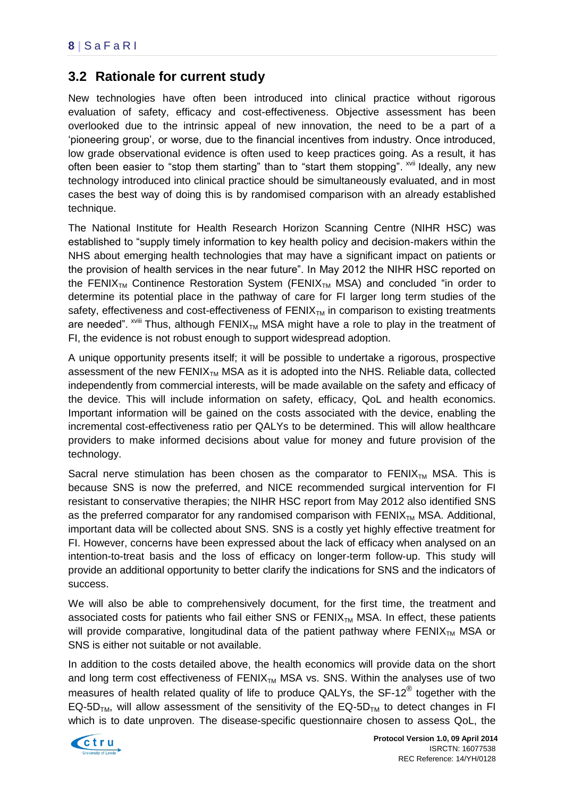## <span id="page-12-0"></span>**3.2 Rationale for current study**

New technologies have often been introduced into clinical practice without rigorous evaluation of safety, efficacy and cost-effectiveness. Objective assessment has been overlooked due to the intrinsic appeal of new innovation, the need to be a part of a 'pioneering group', or worse, due to the financial incentives from industry. Once introduced, low grade observational evidence is often used to keep practices going. As a result, it has often been easier to "stop them starting" than to "start them stopping". XVII Ideally, any new technology introduced into clinical practice should be simultaneously evaluated, and in most cases the best way of doing this is by randomised comparison with an already established technique.

The National Institute for Health Research Horizon Scanning Centre (NIHR HSC) was established to "supply timely information to key health policy and decision-makers within the NHS about emerging health technologies that may have a significant impact on patients or the provision of health services in the near future". In May 2012 the NIHR HSC reported on the FENIX<sub>TM</sub> Continence Restoration System (FENIX<sub>TM</sub> MSA) and concluded "in order to determine its potential place in the pathway of care for FI larger long term studies of the safety, effectiveness and cost-effectiveness of  $FENIX<sub>TM</sub>$  in comparison to existing treatments are needed".  $x^{1/2}$  Thus, although FENIX<sub>TM</sub> MSA might have a role to play in the treatment of FI, the evidence is not robust enough to support widespread adoption.

A unique opportunity presents itself; it will be possible to undertake a rigorous, prospective assessment of the new  $FENIX_{TM}$  MSA as it is adopted into the NHS. Reliable data, collected independently from commercial interests, will be made available on the safety and efficacy of the device. This will include information on safety, efficacy, QoL and health economics. Important information will be gained on the costs associated with the device, enabling the incremental cost-effectiveness ratio per QALYs to be determined. This will allow healthcare providers to make informed decisions about value for money and future provision of the technology.

Sacral nerve stimulation has been chosen as the comparator to  $FENIX_{TM}$  MSA. This is because SNS is now the preferred, and NICE recommended surgical intervention for FI resistant to conservative therapies; the NIHR HSC report from May 2012 also identified SNS as the preferred comparator for any randomised comparison with  $FENIX_{TM}$  MSA. Additional, important data will be collected about SNS. SNS is a costly yet highly effective treatment for FI. However, concerns have been expressed about the lack of efficacy when analysed on an intention-to-treat basis and the loss of efficacy on longer-term follow-up. This study will provide an additional opportunity to better clarify the indications for SNS and the indicators of success.

We will also be able to comprehensively document, for the first time, the treatment and associated costs for patients who fail either SNS or  $FENIX<sub>TM</sub> MSA$ . In effect, these patients will provide comparative, longitudinal data of the patient pathway where  $FENIX<sub>TM</sub>$  MSA or SNS is either not suitable or not available.

In addition to the costs detailed above, the health economics will provide data on the short and long term cost effectiveness of  $FENIX_{TM}$  MSA vs. SNS. Within the analyses use of two measures of health related quality of life to produce QALYs, the SF-12 $^{\circledR}$  together with the EQ-5D<sub>TM</sub>, will allow assessment of the sensitivity of the EQ-5D<sub>TM</sub> to detect changes in FI which is to date unproven. The disease-specific questionnaire chosen to assess QoL, the

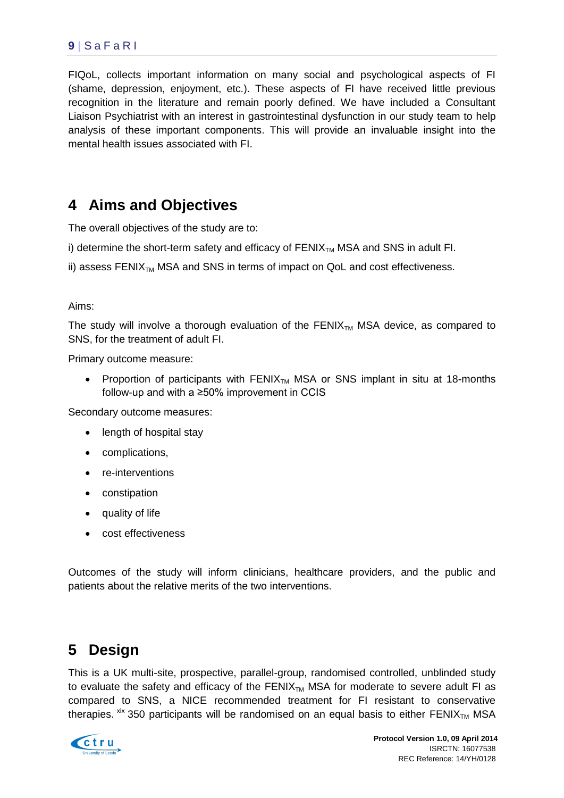### **9 |** S a F a R I

FIQoL, collects important information on many social and psychological aspects of FI (shame, depression, enjoyment, etc.). These aspects of FI have received little previous recognition in the literature and remain poorly defined. We have included a Consultant Liaison Psychiatrist with an interest in gastrointestinal dysfunction in our study team to help analysis of these important components. This will provide an invaluable insight into the mental health issues associated with FI.

# <span id="page-13-0"></span>**4 Aims and Objectives**

The overall objectives of the study are to:

i) determine the short-term safety and efficacy of  $FENIX<sub>TM</sub> MSA$  and SNS in adult FI.

ii) assess FENI $X_{TM}$  MSA and SNS in terms of impact on QoL and cost effectiveness.

#### Aims:

The study will involve a thorough evaluation of the  $FENIX<sub>TM</sub> MSA$  device, as compared to SNS, for the treatment of adult FI.

Primary outcome measure:

• Proportion of participants with  $FENIX_{TM}$  MSA or SNS implant in situ at 18-months follow-up and with a ≥50% improvement in CCIS

Secondary outcome measures:

- length of hospital stay
- complications,
- re-interventions
- constipation
- quality of life
- cost effectiveness

Outcomes of the study will inform clinicians, healthcare providers, and the public and patients about the relative merits of the two interventions.

# <span id="page-13-1"></span>**5 Design**

This is a UK multi-site, prospective, parallel-group, randomised controlled, unblinded study to evaluate the safety and efficacy of the FENIX $_{TM}$  MSA for moderate to severe adult FI as compared to SNS, a NICE recommended treatment for FI resistant to conservative therapies.  $\frac{xx}{x}$  350 participants will be randomised on an equal basis to either FENIX<sub>TM</sub> MSA

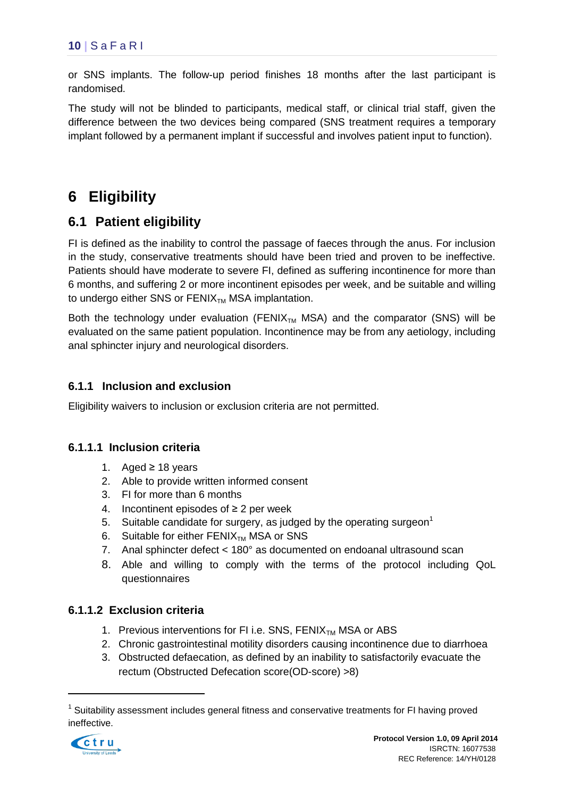or SNS implants. The follow-up period finishes 18 months after the last participant is randomised.

The study will not be blinded to participants, medical staff, or clinical trial staff, given the difference between the two devices being compared (SNS treatment requires a temporary implant followed by a permanent implant if successful and involves patient input to function).

# <span id="page-14-0"></span>**6 Eligibility**

# <span id="page-14-1"></span>**6.1 Patient eligibility**

FI is defined as the inability to control the passage of faeces through the anus. For inclusion in the study, conservative treatments should have been tried and proven to be ineffective. Patients should have moderate to severe FI, defined as suffering incontinence for more than 6 months, and suffering 2 or more incontinent episodes per week, and be suitable and willing to undergo either SNS or  $FENIX<sub>TM</sub> MSA$  implantation.

Both the technology under evaluation (FENIX<sub>TM</sub> MSA) and the comparator (SNS) will be evaluated on the same patient population. Incontinence may be from any aetiology, including anal sphincter injury and neurological disorders.

### **6.1.1 Inclusion and exclusion**

Eligibility waivers to inclusion or exclusion criteria are not permitted.

#### **6.1.1.1 Inclusion criteria**

- 1. Aged ≥ 18 years
- 2. Able to provide written informed consent
- 3. FI for more than 6 months
- 4. Incontinent episodes of  $\geq 2$  per week
- 5. Suitable candidate for surgery, as judged by the operating surgeon<sup>1</sup>
- 6. Suitable for either  $FENIX<sub>TM</sub> MSA$  or SNS
- 7. Anal sphincter defect < 180° as documented on endoanal ultrasound scan
- 8. Able and willing to comply with the terms of the protocol including QoL questionnaires

#### **6.1.1.2 Exclusion criteria**

- 1. Previous interventions for FI i.e. SNS,  $FENIX_{TM}$  MSA or ABS
- 2. Chronic gastrointestinal motility disorders causing incontinence due to diarrhoea
- 3. Obstructed defaecation, as defined by an inability to satisfactorily evacuate the rectum (Obstructed Defecation score(OD-score) >8)

<sup>&</sup>lt;sup>1</sup> Suitability assessment includes general fitness and conservative treatments for FI having proved ineffective.



1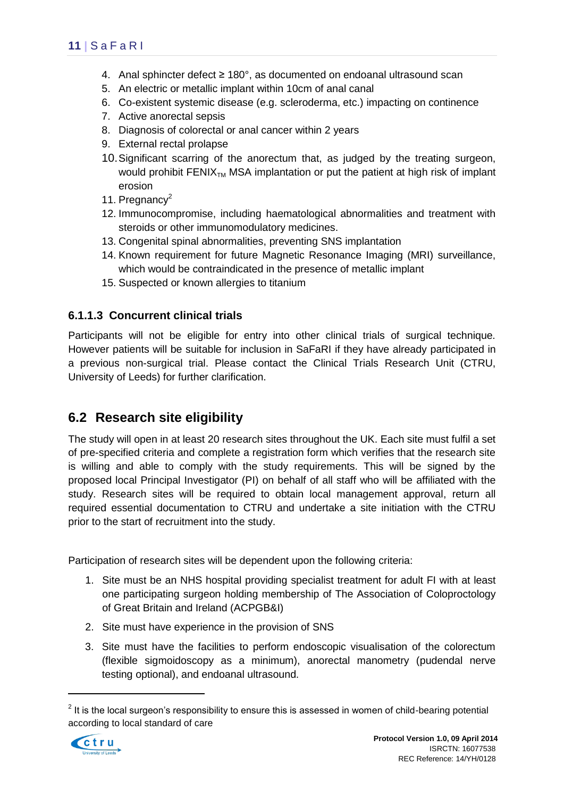- 4. Anal sphincter defect  $\geq 180^\circ$ , as documented on endoanal ultrasound scan
- 5. An electric or metallic implant within 10cm of anal canal
- 6. Co-existent systemic disease (e.g. scleroderma, etc.) impacting on continence
- 7. Active anorectal sepsis
- 8. Diagnosis of colorectal or anal cancer within 2 years
- 9. External rectal prolapse
- 10.Significant scarring of the anorectum that, as judged by the treating surgeon, would prohibit FENI $X_{TM}$  MSA implantation or put the patient at high risk of implant erosion
- 11. Pregnancy $^2$
- 12. Immunocompromise, including haematological abnormalities and treatment with steroids or other immunomodulatory medicines.
- 13. Congenital spinal abnormalities, preventing SNS implantation
- 14. Known requirement for future Magnetic Resonance Imaging (MRI) surveillance, which would be contraindicated in the presence of metallic implant
- 15. Suspected or known allergies to titanium

#### **6.1.1.3 Concurrent clinical trials**

Participants will not be eligible for entry into other clinical trials of surgical technique. However patients will be suitable for inclusion in SaFaRI if they have already participated in a previous non-surgical trial. Please contact the Clinical Trials Research Unit (CTRU, University of Leeds) for further clarification.

## <span id="page-15-0"></span>**6.2 Research site eligibility**

The study will open in at least 20 research sites throughout the UK. Each site must fulfil a set of pre-specified criteria and complete a registration form which verifies that the research site is willing and able to comply with the study requirements. This will be signed by the proposed local Principal Investigator (PI) on behalf of all staff who will be affiliated with the study. Research sites will be required to obtain local management approval, return all required essential documentation to CTRU and undertake a site initiation with the CTRU prior to the start of recruitment into the study.

Participation of research sites will be dependent upon the following criteria:

- 1. Site must be an NHS hospital providing specialist treatment for adult FI with at least one participating surgeon holding membership of The Association of Coloproctology of Great Britain and Ireland (ACPGB&I)
- 2. Site must have experience in the provision of SNS
- 3. Site must have the facilities to perform endoscopic visualisation of the colorectum (flexible sigmoidoscopy as a minimum), anorectal manometry (pudendal nerve testing optional), and endoanal ultrasound.

 $2$  It is the local surgeon's responsibility to ensure this is assessed in women of child-bearing potential according to local standard of care



1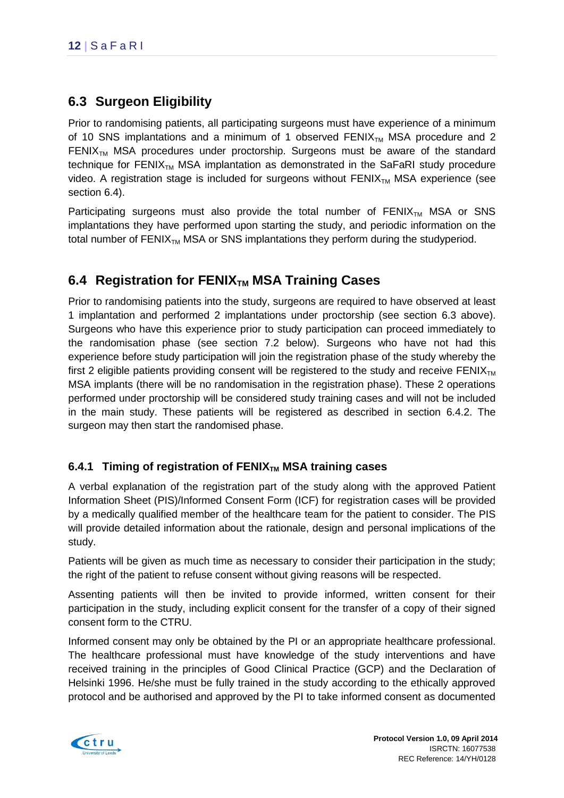# <span id="page-16-0"></span>**6.3 Surgeon Eligibility**

Prior to randomising patients, all participating surgeons must have experience of a minimum of 10 SNS implantations and a minimum of 1 observed  $FENIX<sub>TM</sub>$  MSA procedure and 2 FENIX<sub>TM</sub> MSA procedures under proctorship. Surgeons must be aware of the standard technique for  $FENIX<sub>TM</sub> MSA$  implantation as demonstrated in the SaFaRI study procedure video. A registration stage is included for surgeons without  $FENIX_{TM}$  MSA experience (see section 6.4).

Participating surgeons must also provide the total number of  $FENIX_{TM}$  MSA or SNS implantations they have performed upon starting the study, and periodic information on the total number of  $FENIX<sub>TM</sub> MSA$  or SNS implantations they perform during the studyperiod.

## <span id="page-16-1"></span>**6.4 Registration for FENIX**<sub>TM</sub> MSA Training Cases

Prior to randomising patients into the study, surgeons are required to have observed at least 1 implantation and performed 2 implantations under proctorship (see section 6.3 above). Surgeons who have this experience prior to study participation can proceed immediately to the randomisation phase (see section 7.2 below). Surgeons who have not had this experience before study participation will join the registration phase of the study whereby the first 2 eligible patients providing consent will be registered to the study and receive  $FENIX<sub>TM</sub>$ MSA implants (there will be no randomisation in the registration phase). These 2 operations performed under proctorship will be considered study training cases and will not be included in the main study. These patients will be registered as described in section 6.4.2. The surgeon may then start the randomised phase.

### **6.4.1 Timing of registration of FENIXTM MSA training cases**

A verbal explanation of the registration part of the study along with the approved Patient Information Sheet (PIS)/Informed Consent Form (ICF) for registration cases will be provided by a medically qualified member of the healthcare team for the patient to consider. The PIS will provide detailed information about the rationale, design and personal implications of the study.

Patients will be given as much time as necessary to consider their participation in the study; the right of the patient to refuse consent without giving reasons will be respected.

Assenting patients will then be invited to provide informed, written consent for their participation in the study, including explicit consent for the transfer of a copy of their signed consent form to the CTRU.

Informed consent may only be obtained by the PI or an appropriate healthcare professional. The healthcare professional must have knowledge of the study interventions and have received training in the principles of Good Clinical Practice (GCP) and the Declaration of Helsinki 1996. He/she must be fully trained in the study according to the ethically approved protocol and be authorised and approved by the PI to take informed consent as documented

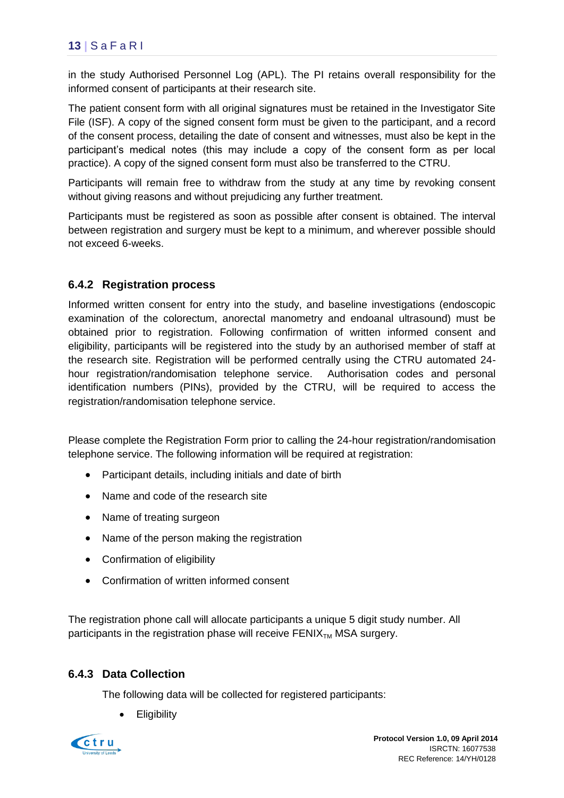in the study Authorised Personnel Log (APL). The PI retains overall responsibility for the informed consent of participants at their research site.

The patient consent form with all original signatures must be retained in the Investigator Site File (ISF). A copy of the signed consent form must be given to the participant, and a record of the consent process, detailing the date of consent and witnesses, must also be kept in the participant's medical notes (this may include a copy of the consent form as per local practice). A copy of the signed consent form must also be transferred to the CTRU.

Participants will remain free to withdraw from the study at any time by revoking consent without giving reasons and without prejudicing any further treatment.

Participants must be registered as soon as possible after consent is obtained. The interval between registration and surgery must be kept to a minimum, and wherever possible should not exceed 6-weeks.

### **6.4.2 Registration process**

Informed written consent for entry into the study, and baseline investigations (endoscopic examination of the colorectum, anorectal manometry and endoanal ultrasound) must be obtained prior to registration. Following confirmation of written informed consent and eligibility, participants will be registered into the study by an authorised member of staff at the research site. Registration will be performed centrally using the CTRU automated 24 hour registration/randomisation telephone service. Authorisation codes and personal identification numbers (PINs), provided by the CTRU, will be required to access the registration/randomisation telephone service.

Please complete the Registration Form prior to calling the 24-hour registration/randomisation telephone service. The following information will be required at registration:

- Participant details, including initials and date of birth
- Name and code of the research site
- Name of treating surgeon
- Name of the person making the registration
- Confirmation of eligibility
- Confirmation of written informed consent

The registration phone call will allocate participants a unique 5 digit study number. All participants in the registration phase will receive  $FENIX<sub>TM</sub> MSA surgery$ .

#### **6.4.3 Data Collection**

The following data will be collected for registered participants:

**Eligibility** 

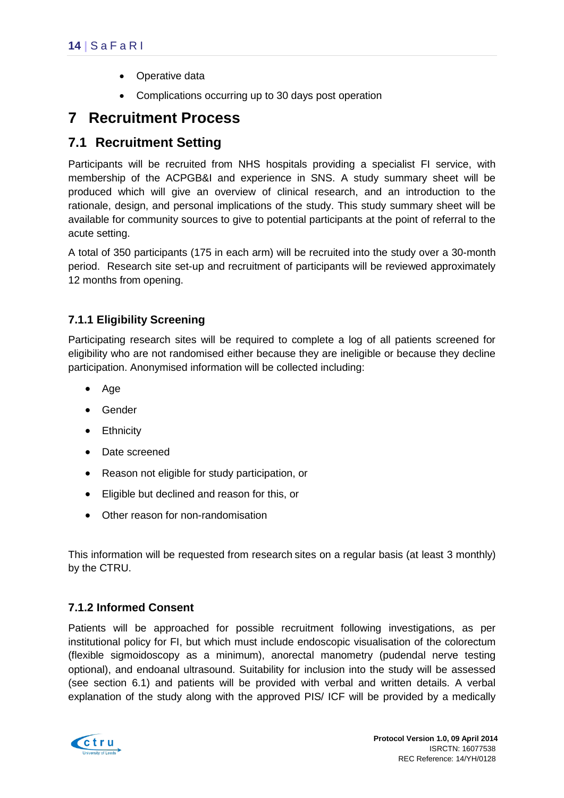- Operative data
- Complications occurring up to 30 days post operation

# <span id="page-18-0"></span>**7 Recruitment Process**

## <span id="page-18-1"></span>**7.1 Recruitment Setting**

Participants will be recruited from NHS hospitals providing a specialist FI service, with membership of the ACPGB&I and experience in SNS. A study summary sheet will be produced which will give an overview of clinical research, and an introduction to the rationale, design, and personal implications of the study. This study summary sheet will be available for community sources to give to potential participants at the point of referral to the acute setting.

A total of 350 participants (175 in each arm) will be recruited into the study over a 30-month period. Research site set-up and recruitment of participants will be reviewed approximately 12 months from opening.

### <span id="page-18-2"></span>**7.1.1 Eligibility Screening**

Participating research sites will be required to complete a log of all patients screened for eligibility who are not randomised either because they are ineligible or because they decline participation. Anonymised information will be collected including:

- Age
- Gender
- Ethnicity
- Date screened
- Reason not eligible for study participation, or
- Eligible but declined and reason for this, or
- Other reason for non-randomisation

This information will be requested from research sites on a regular basis (at least 3 monthly) by the CTRU.

### **7.1.2 Informed Consent**

Patients will be approached for possible recruitment following investigations, as per institutional policy for FI, but which must include endoscopic visualisation of the colorectum (flexible sigmoidoscopy as a minimum), anorectal manometry (pudendal nerve testing optional), and endoanal ultrasound. Suitability for inclusion into the study will be assessed (see section [6.1\)](#page-14-1) and patients will be provided with verbal and written details. A verbal explanation of the study along with the approved PIS/ ICF will be provided by a medically

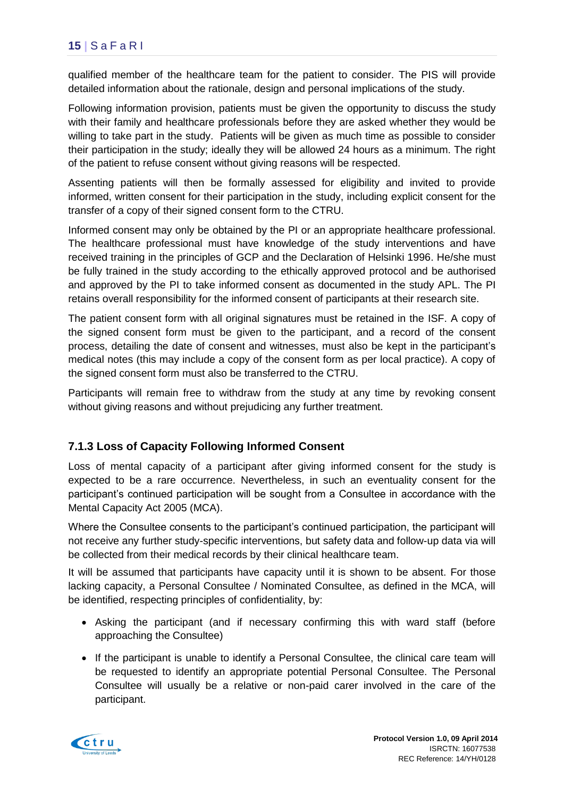qualified member of the healthcare team for the patient to consider. The PIS will provide detailed information about the rationale, design and personal implications of the study.

Following information provision, patients must be given the opportunity to discuss the study with their family and healthcare professionals before they are asked whether they would be willing to take part in the study. Patients will be given as much time as possible to consider their participation in the study; ideally they will be allowed 24 hours as a minimum. The right of the patient to refuse consent without giving reasons will be respected.

Assenting patients will then be formally assessed for eligibility and invited to provide informed, written consent for their participation in the study, including explicit consent for the transfer of a copy of their signed consent form to the CTRU.

Informed consent may only be obtained by the PI or an appropriate healthcare professional. The healthcare professional must have knowledge of the study interventions and have received training in the principles of GCP and the Declaration of Helsinki 1996. He/she must be fully trained in the study according to the ethically approved protocol and be authorised and approved by the PI to take informed consent as documented in the study APL. The PI retains overall responsibility for the informed consent of participants at their research site.

The patient consent form with all original signatures must be retained in the ISF. A copy of the signed consent form must be given to the participant, and a record of the consent process, detailing the date of consent and witnesses, must also be kept in the participant's medical notes (this may include a copy of the consent form as per local practice). A copy of the signed consent form must also be transferred to the CTRU.

Participants will remain free to withdraw from the study at any time by revoking consent without giving reasons and without prejudicing any further treatment.

#### **7.1.3 Loss of Capacity Following Informed Consent**

Loss of mental capacity of a participant after giving informed consent for the study is expected to be a rare occurrence. Nevertheless, in such an eventuality consent for the participant's continued participation will be sought from a Consultee in accordance with the Mental Capacity Act 2005 (MCA).

Where the Consultee consents to the participant's continued participation, the participant will not receive any further study-specific interventions, but safety data and follow-up data via will be collected from their medical records by their clinical healthcare team.

It will be assumed that participants have capacity until it is shown to be absent. For those lacking capacity, a Personal Consultee / Nominated Consultee, as defined in the MCA, will be identified, respecting principles of confidentiality, by:

- Asking the participant (and if necessary confirming this with ward staff (before approaching the Consultee)
- If the participant is unable to identify a Personal Consultee, the clinical care team will be requested to identify an appropriate potential Personal Consultee. The Personal Consultee will usually be a relative or non-paid carer involved in the care of the participant.

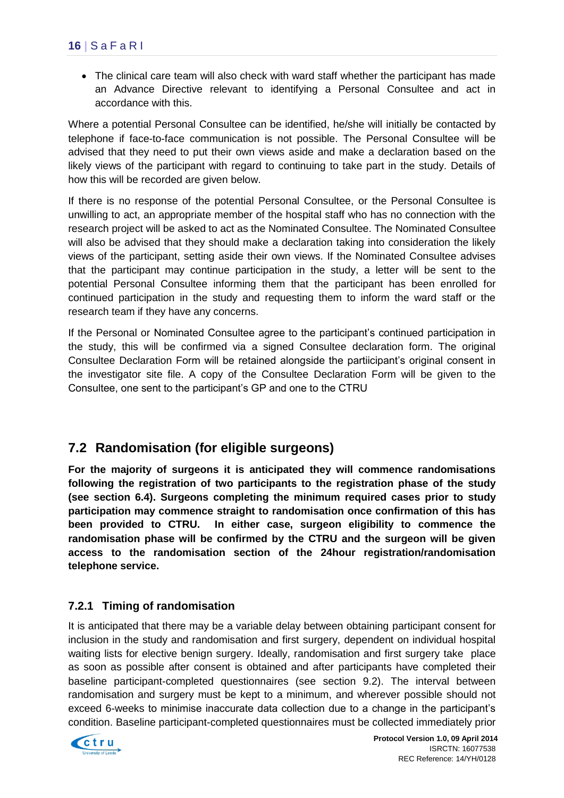• The clinical care team will also check with ward staff whether the participant has made an Advance Directive relevant to identifying a Personal Consultee and act in accordance with this.

Where a potential Personal Consultee can be identified, he/she will initially be contacted by telephone if face-to-face communication is not possible. The Personal Consultee will be advised that they need to put their own views aside and make a declaration based on the likely views of the participant with regard to continuing to take part in the study. Details of how this will be recorded are given below.

If there is no response of the potential Personal Consultee, or the Personal Consultee is unwilling to act, an appropriate member of the hospital staff who has no connection with the research project will be asked to act as the Nominated Consultee. The Nominated Consultee will also be advised that they should make a declaration taking into consideration the likely views of the participant, setting aside their own views. If the Nominated Consultee advises that the participant may continue participation in the study, a letter will be sent to the potential Personal Consultee informing them that the participant has been enrolled for continued participation in the study and requesting them to inform the ward staff or the research team if they have any concerns.

If the Personal or Nominated Consultee agree to the participant's continued participation in the study, this will be confirmed via a signed Consultee declaration form. The original Consultee Declaration Form will be retained alongside the partiicipant's original consent in the investigator site file. A copy of the Consultee Declaration Form will be given to the Consultee, one sent to the participant's GP and one to the CTRU

## <span id="page-20-0"></span>**7.2 Randomisation (for eligible surgeons)**

**For the majority of surgeons it is anticipated they will commence randomisations following the registration of two participants to the registration phase of the study (see section 6.4). Surgeons completing the minimum required cases prior to study participation may commence straight to randomisation once confirmation of this has been provided to CTRU. In either case, surgeon eligibility to commence the randomisation phase will be confirmed by the CTRU and the surgeon will be given access to the randomisation section of the 24hour registration/randomisation telephone service.** 

#### **7.2.1 Timing of randomisation**

It is anticipated that there may be a variable delay between obtaining participant consent for inclusion in the study and randomisation and first surgery, dependent on individual hospital waiting lists for elective benign surgery. Ideally, randomisation and first surgery take place as soon as possible after consent is obtained and after participants have completed their baseline participant-completed questionnaires (see section 9.2). The interval between randomisation and surgery must be kept to a minimum, and wherever possible should not exceed 6-weeks to minimise inaccurate data collection due to a change in the participant's condition. Baseline participant-completed questionnaires must be collected immediately prior

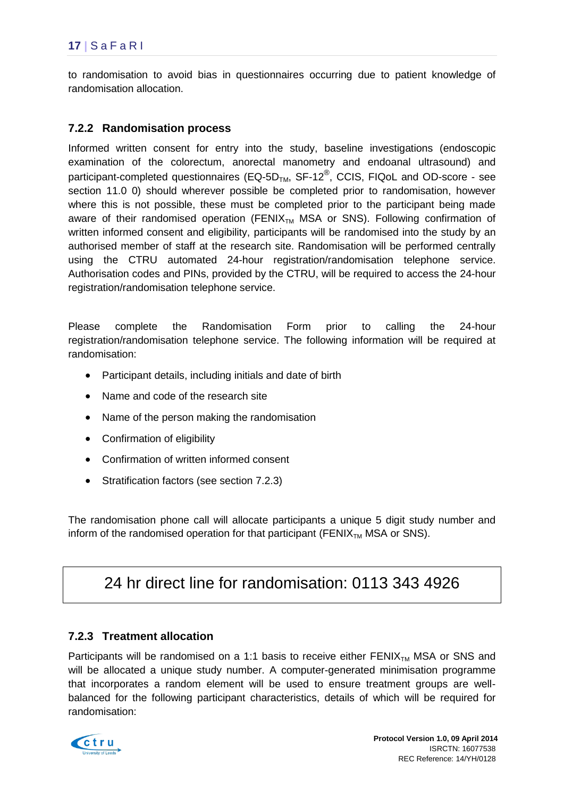to randomisation to avoid bias in questionnaires occurring due to patient knowledge of randomisation allocation.

#### **7.2.2 Randomisation process**

Informed written consent for entry into the study, baseline investigations (endoscopic examination of the colorectum, anorectal manometry and endoanal ultrasound) and participant-completed questionnaires (EQ-5D<sub>TM</sub>, SF-12<sup>®</sup>, CCIS, FIQoL and OD-score - see section 11.0 [0\)](#page-18-2) should wherever possible be completed prior to randomisation, however where this is not possible, these must be completed prior to the participant being made aware of their randomised operation (FENIX<sub>TM</sub> MSA or SNS). Following confirmation of written informed consent and eligibility, participants will be randomised into the study by an authorised member of staff at the research site. Randomisation will be performed centrally using the CTRU automated 24-hour registration/randomisation telephone service. Authorisation codes and PINs, provided by the CTRU, will be required to access the 24-hour registration/randomisation telephone service.

Please complete the Randomisation Form prior to calling the 24-hour registration/randomisation telephone service. The following information will be required at randomisation:

- Participant details, including initials and date of birth
- Name and code of the research site
- Name of the person making the randomisation
- Confirmation of eligibility
- Confirmation of written informed consent
- Stratification factors (see section 7.2.3)

The randomisation phone call will allocate participants a unique 5 digit study number and inform of the randomised operation for that participant (FENI $X_{TM}$  MSA or SNS).

# 24 hr direct line for randomisation: 0113 343 4926

#### **7.2.3 Treatment allocation**

Participants will be randomised on a 1:1 basis to receive either  $FENIX_{TM}$  MSA or SNS and will be allocated a unique study number. A computer-generated minimisation programme that incorporates a random element will be used to ensure treatment groups are wellbalanced for the following participant characteristics, details of which will be required for randomisation:

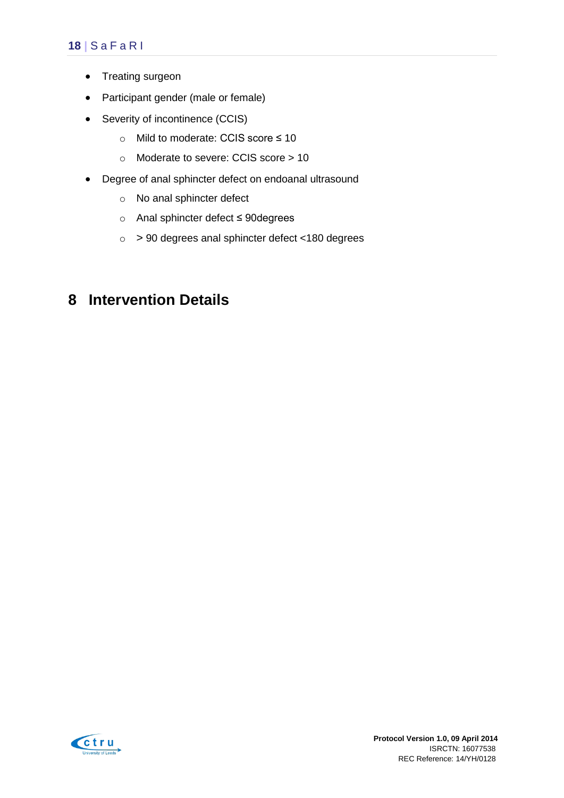### **18 |** S a F a R I

- Treating surgeon
- Participant gender (male or female)
- Severity of incontinence (CCIS)
	- o Mild to moderate: CCIS score ≤ 10
	- o Moderate to severe: CCIS score > 10
- Degree of anal sphincter defect on endoanal ultrasound
	- o No anal sphincter defect
	- o Anal sphincter defect ≤ 90degrees
	- o > 90 degrees anal sphincter defect <180 degrees

# <span id="page-22-0"></span>**8 Intervention Details**

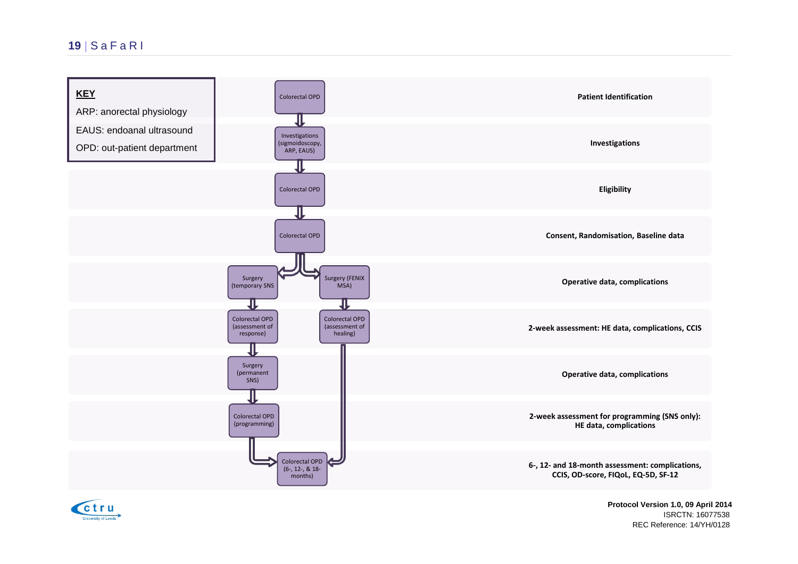

ctru

 **Protocol Version 1.0, 09 April 2014** ISRCTN: 16077538 REC Reference: 14/YH/0128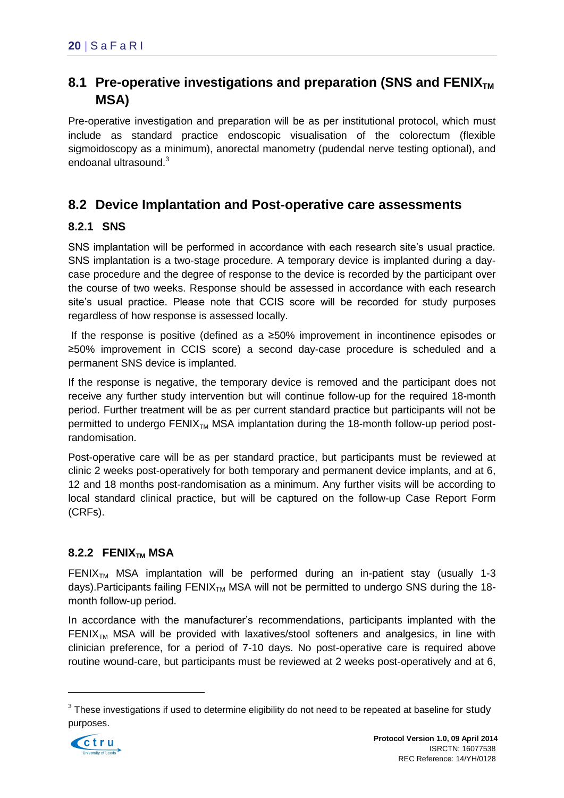# <span id="page-24-0"></span>8.1 Pre-operative investigations and preparation (SNS and FENIX<sub>TM</sub>) **MSA)**

Pre-operative investigation and preparation will be as per institutional protocol, which must include as standard practice endoscopic visualisation of the colorectum (flexible sigmoidoscopy as a minimum), anorectal manometry (pudendal nerve testing optional), and endoanal ultrasound.<sup>3</sup>

## <span id="page-24-1"></span>**8.2 Device Implantation and Post-operative care assessments**

### **8.2.1 SNS**

SNS implantation will be performed in accordance with each research site's usual practice. SNS implantation is a two-stage procedure. A temporary device is implanted during a daycase procedure and the degree of response to the device is recorded by the participant over the course of two weeks. Response should be assessed in accordance with each research site's usual practice. Please note that CCIS score will be recorded for study purposes regardless of how response is assessed locally.

If the response is positive (defined as a ≥50% improvement in incontinence episodes or ≥50% improvement in CCIS score) a second day-case procedure is scheduled and a permanent SNS device is implanted.

If the response is negative, the temporary device is removed and the participant does not receive any further study intervention but will continue follow-up for the required 18-month period. Further treatment will be as per current standard practice but participants will not be permitted to undergo  $FENIX_{TM}$  MSA implantation during the 18-month follow-up period postrandomisation.

Post-operative care will be as per standard practice, but participants must be reviewed at clinic 2 weeks post-operatively for both temporary and permanent device implants, and at 6, 12 and 18 months post-randomisation as a minimum. Any further visits will be according to local standard clinical practice, but will be captured on the follow-up Case Report Form (CRFs).

### **8.2.2 FENIXTM MSA**

FENIX<sub>TM</sub> MSA implantation will be performed during an in-patient stay (usually 1-3 days). Participants failing  $FENIX_{TM}$  MSA will not be permitted to undergo SNS during the 18month follow-up period.

In accordance with the manufacturer's recommendations, participants implanted with the  $FENIX<sub>TM</sub>$  MSA will be provided with laxatives/stool softeners and analgesics, in line with clinician preference, for a period of 7-10 days. No post-operative care is required above routine wound-care, but participants must be reviewed at 2 weeks post-operatively and at 6,

 $3$  These investigations if used to determine eligibility do not need to be repeated at baseline for study purposes.



1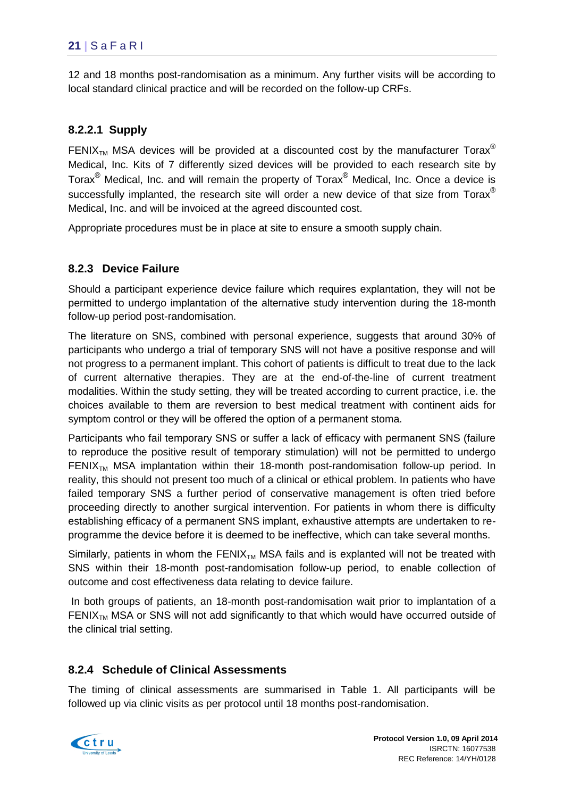12 and 18 months post-randomisation as a minimum. Any further visits will be according to local standard clinical practice and will be recorded on the follow-up CRFs.

### **8.2.2.1 Supply**

FENIX<sub>TM</sub> MSA devices will be provided at a discounted cost by the manufacturer Torax<sup>®</sup> Medical, Inc. Kits of 7 differently sized devices will be provided to each research site by Torax® Medical, Inc. and will remain the property of Torax® Medical, Inc. Once a device is successfully implanted, the research site will order a new device of that size from  $T$ orax<sup>®</sup> Medical, Inc. and will be invoiced at the agreed discounted cost.

Appropriate procedures must be in place at site to ensure a smooth supply chain.

### **8.2.3 Device Failure**

Should a participant experience device failure which requires explantation, they will not be permitted to undergo implantation of the alternative study intervention during the 18-month follow-up period post-randomisation.

The literature on SNS, combined with personal experience, suggests that around 30% of participants who undergo a trial of temporary SNS will not have a positive response and will not progress to a permanent implant. This cohort of patients is difficult to treat due to the lack of current alternative therapies. They are at the end-of-the-line of current treatment modalities. Within the study setting, they will be treated according to current practice, i.e. the choices available to them are reversion to best medical treatment with continent aids for symptom control or they will be offered the option of a permanent stoma.

Participants who fail temporary SNS or suffer a lack of efficacy with permanent SNS (failure to reproduce the positive result of temporary stimulation) will not be permitted to undergo FENIX<sub>TM</sub> MSA implantation within their 18-month post-randomisation follow-up period. In reality, this should not present too much of a clinical or ethical problem. In patients who have failed temporary SNS a further period of conservative management is often tried before proceeding directly to another surgical intervention. For patients in whom there is difficulty establishing efficacy of a permanent SNS implant, exhaustive attempts are undertaken to reprogramme the device before it is deemed to be ineffective, which can take several months.

Similarly, patients in whom the  $FENIX_{TM}$  MSA fails and is explanted will not be treated with SNS within their 18-month post-randomisation follow-up period, to enable collection of outcome and cost effectiveness data relating to device failure.

In both groups of patients, an 18-month post-randomisation wait prior to implantation of a FENIX $_{TM}$  MSA or SNS will not add significantly to that which would have occurred outside of the clinical trial setting.

#### **8.2.4 Schedule of Clinical Assessments**

The timing of clinical assessments are summarised in Table 1. All participants will be followed up via clinic visits as per protocol until 18 months post-randomisation.

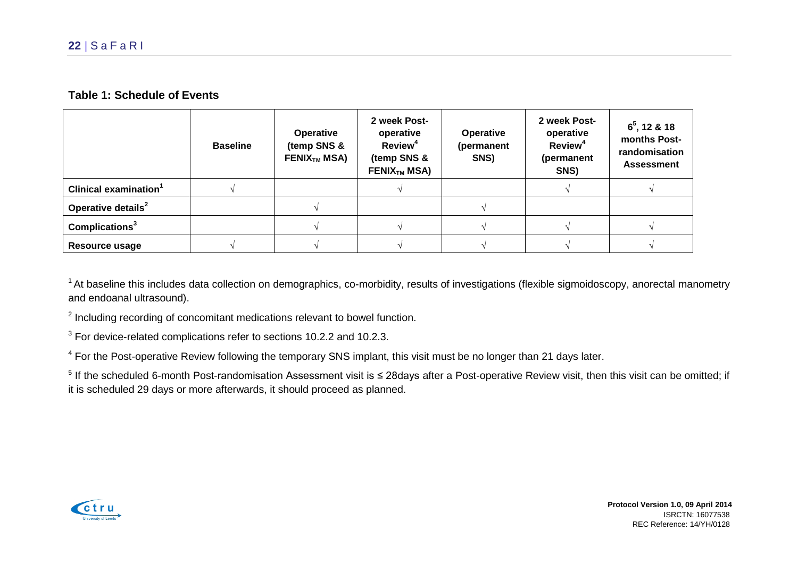#### **Table 1: Schedule of Events**

|                                   | <b>Baseline</b> | <b>Operative</b><br>(temp SNS &<br>FENIX <sub>TM</sub> MSA) | 2 week Post-<br>operative<br><b>Review<sup>4</sup></b><br>(temp SNS &<br>FENIX <sub>TM</sub> MSA) | <b>Operative</b><br>(permanent<br>SNS) | 2 week Post-<br>operative<br>Review <sup>4</sup><br>(permanent<br>SNS) | $6^5$ , 12 & 18<br>months Post-<br>randomisation<br><b>Assessment</b> |
|-----------------------------------|-----------------|-------------------------------------------------------------|---------------------------------------------------------------------------------------------------|----------------------------------------|------------------------------------------------------------------------|-----------------------------------------------------------------------|
| Clinical examination <sup>1</sup> |                 |                                                             |                                                                                                   |                                        |                                                                        |                                                                       |
| Operative details <sup>2</sup>    |                 |                                                             |                                                                                                   |                                        |                                                                        |                                                                       |
| Complications <sup>3</sup>        |                 |                                                             |                                                                                                   |                                        |                                                                        |                                                                       |
| Resource usage                    |                 |                                                             |                                                                                                   |                                        |                                                                        |                                                                       |

 $1$  At baseline this includes data collection on demographics, co-morbidity, results of investigations (flexible sigmoidoscopy, anorectal manometry and endoanal ultrasound).

 $2$  Including recording of concomitant medications relevant to bowel function.

<sup>3</sup> For device-related complications refer to sections 10.2.2 and 10.2.3.

 $4$  For the Post-operative Review following the temporary SNS implant, this visit must be no longer than 21 days later.

 $5$  If the scheduled 6-month Post-randomisation Assessment visit is ≤ 28days after a Post-operative Review visit, then this visit can be omitted; if it is scheduled 29 days or more afterwards, it should proceed as planned.

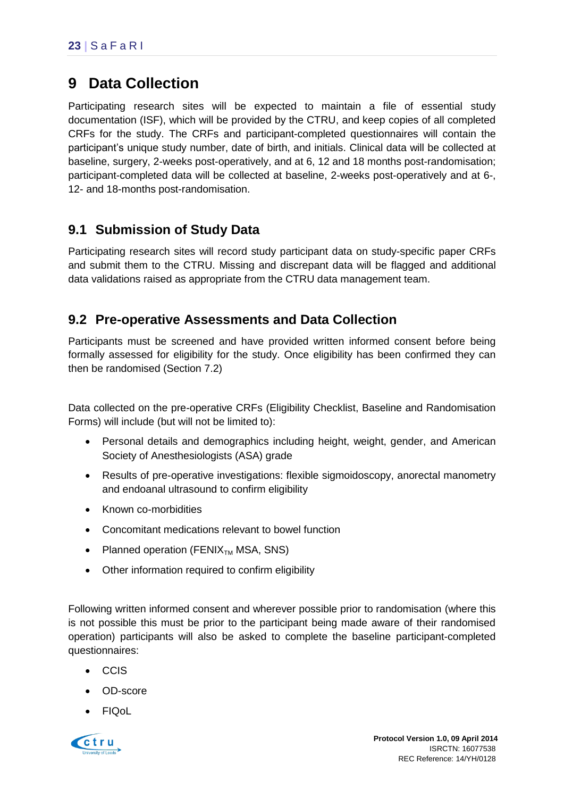# <span id="page-27-0"></span>**9 Data Collection**

Participating research sites will be expected to maintain a file of essential study documentation (ISF), which will be provided by the CTRU, and keep copies of all completed CRFs for the study. The CRFs and participant-completed questionnaires will contain the participant's unique study number, date of birth, and initials. Clinical data will be collected at baseline, surgery, 2-weeks post-operatively, and at 6, 12 and 18 months post-randomisation; participant-completed data will be collected at baseline, 2-weeks post-operatively and at 6-, 12- and 18-months post-randomisation.

## <span id="page-27-1"></span>**9.1 Submission of Study Data**

Participating research sites will record study participant data on study-specific paper CRFs and submit them to the CTRU. Missing and discrepant data will be flagged and additional data validations raised as appropriate from the CTRU data management team.

## <span id="page-27-2"></span>**9.2 Pre-operative Assessments and Data Collection**

Participants must be screened and have provided written informed consent before being formally assessed for eligibility for the study. Once eligibility has been confirmed they can then be randomised (Section 7.2)

Data collected on the pre-operative CRFs (Eligibility Checklist, Baseline and Randomisation Forms) will include (but will not be limited to):

- Personal details and demographics including height, weight, gender, and American Society of Anesthesiologists (ASA) grade
- Results of pre-operative investigations: flexible sigmoidoscopy, anorectal manometry and endoanal ultrasound to confirm eligibility
- Known co-morbidities
- Concomitant medications relevant to bowel function
- Planned operation (FENIX<sub>TM</sub> MSA, SNS)
- Other information required to confirm eligibility

Following written informed consent and wherever possible prior to randomisation (where this is not possible this must be prior to the participant being made aware of their randomised operation) participants will also be asked to complete the baseline participant-completed questionnaires:

- CCIS
- OD-score
- FIQoL

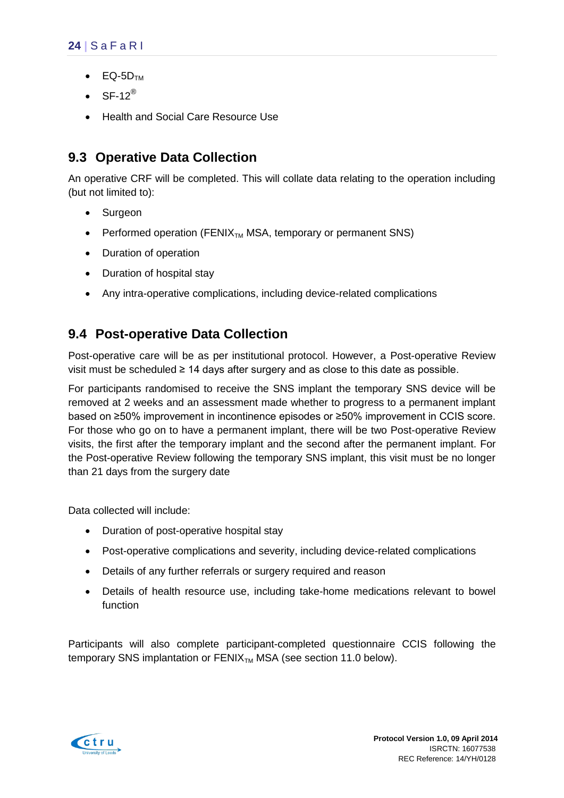- $\bullet$  EQ-5D<sub>TM</sub>
- $\cdot$  SF-12<sup>®</sup>
- Health and Social Care Resource Use

# <span id="page-28-0"></span>**9.3 Operative Data Collection**

An operative CRF will be completed. This will collate data relating to the operation including (but not limited to):

- Surgeon
- Performed operation ( $FENIX_{TM}$  MSA, temporary or permanent SNS)
- Duration of operation
- Duration of hospital stay
- Any intra-operative complications, including device-related complications

## <span id="page-28-1"></span>**9.4 Post-operative Data Collection**

Post-operative care will be as per institutional protocol. However, a Post-operative Review visit must be scheduled ≥ 14 days after surgery and as close to this date as possible.

For participants randomised to receive the SNS implant the temporary SNS device will be removed at 2 weeks and an assessment made whether to progress to a permanent implant based on ≥50% improvement in incontinence episodes or ≥50% improvement in CCIS score. For those who go on to have a permanent implant, there will be two Post-operative Review visits, the first after the temporary implant and the second after the permanent implant. For the Post-operative Review following the temporary SNS implant, this visit must be no longer than 21 days from the surgery date

Data collected will include:

- Duration of post-operative hospital stay
- Post-operative complications and severity, including device-related complications
- Details of any further referrals or surgery required and reason
- Details of health resource use, including take-home medications relevant to bowel function

Participants will also complete participant-completed questionnaire CCIS following the temporary SNS implantation or  $FENIX_{TM}$  MSA (see section 11.0 below).

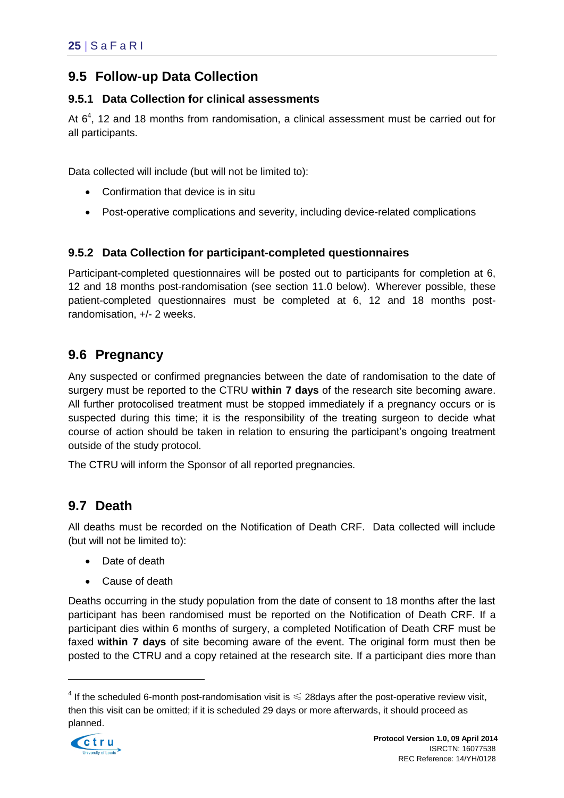## <span id="page-29-0"></span>**9.5 Follow-up Data Collection**

#### **9.5.1 Data Collection for clinical assessments**

At  $6<sup>4</sup>$ , 12 and 18 months from randomisation, a clinical assessment must be carried out for all participants.

Data collected will include (but will not be limited to):

- Confirmation that device is in situ
- Post-operative complications and severity, including device-related complications

### **9.5.2 Data Collection for participant-completed questionnaires**

Participant-completed questionnaires will be posted out to participants for completion at 6, 12 and 18 months post-randomisation (see section 11.0 below). Wherever possible, these patient-completed questionnaires must be completed at 6, 12 and 18 months postrandomisation, +/- 2 weeks.

## <span id="page-29-1"></span>**9.6 Pregnancy**

Any suspected or confirmed pregnancies between the date of randomisation to the date of surgery must be reported to the CTRU **within 7 days** of the research site becoming aware. All further protocolised treatment must be stopped immediately if a pregnancy occurs or is suspected during this time; it is the responsibility of the treating surgeon to decide what course of action should be taken in relation to ensuring the participant's ongoing treatment outside of the study protocol.

The CTRU will inform the Sponsor of all reported pregnancies.

## <span id="page-29-2"></span>**9.7 Death**

All deaths must be recorded on the Notification of Death CRF. Data collected will include (but will not be limited to):

- Date of death
- Cause of death

Deaths occurring in the study population from the date of consent to 18 months after the last participant has been randomised must be reported on the Notification of Death CRF. If a participant dies within 6 months of surgery, a completed Notification of Death CRF must be faxed **within 7 days** of site becoming aware of the event. The original form must then be posted to the CTRU and a copy retained at the research site. If a participant dies more than

 $<sup>4</sup>$  If the scheduled 6-month post-randomisation visit is  $\leqslant$  28days after the post-operative review visit,</sup> then this visit can be omitted; if it is scheduled 29 days or more afterwards, it should proceed as planned.



1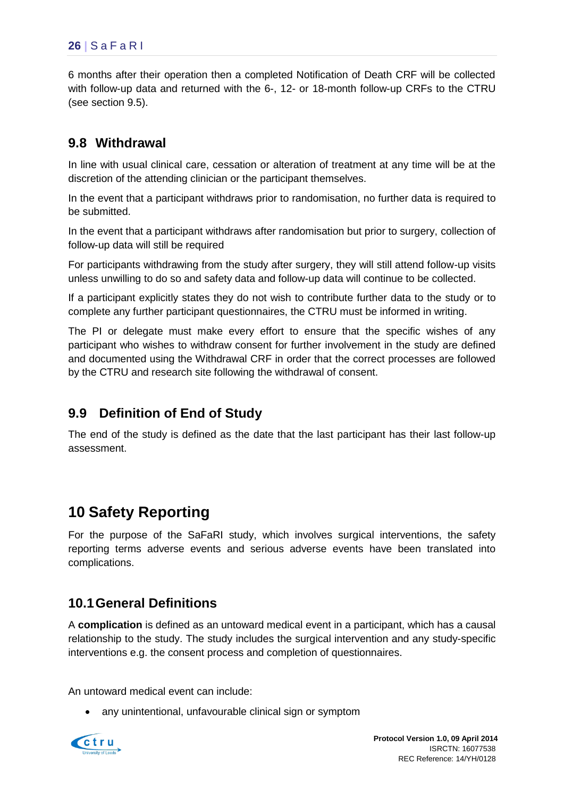6 months after their operation then a completed Notification of Death CRF will be collected with follow-up data and returned with the 6-, 12- or 18-month follow-up CRFs to the CTRU (see section 9.5).

## <span id="page-30-0"></span>**9.8 Withdrawal**

In line with usual clinical care, cessation or alteration of treatment at any time will be at the discretion of the attending clinician or the participant themselves.

In the event that a participant withdraws prior to randomisation, no further data is required to be submitted.

In the event that a participant withdraws after randomisation but prior to surgery, collection of follow-up data will still be required

For participants withdrawing from the study after surgery, they will still attend follow-up visits unless unwilling to do so and safety data and follow-up data will continue to be collected.

If a participant explicitly states they do not wish to contribute further data to the study or to complete any further participant questionnaires, the CTRU must be informed in writing.

The PI or delegate must make every effort to ensure that the specific wishes of any participant who wishes to withdraw consent for further involvement in the study are defined and documented using the Withdrawal CRF in order that the correct processes are followed by the CTRU and research site following the withdrawal of consent.

## <span id="page-30-1"></span>**9.9 Definition of End of Study**

The end of the study is defined as the date that the last participant has their last follow-up assessment.

# <span id="page-30-2"></span>**10 Safety Reporting**

For the purpose of the SaFaRI study, which involves surgical interventions, the safety reporting terms adverse events and serious adverse events have been translated into complications.

## <span id="page-30-3"></span>**10.1General Definitions**

A **complication** is defined as an untoward medical event in a participant, which has a causal relationship to the study. The study includes the surgical intervention and any study-specific interventions e.g. the consent process and completion of questionnaires.

An untoward medical event can include:

• any unintentional, unfavourable clinical sign or symptom

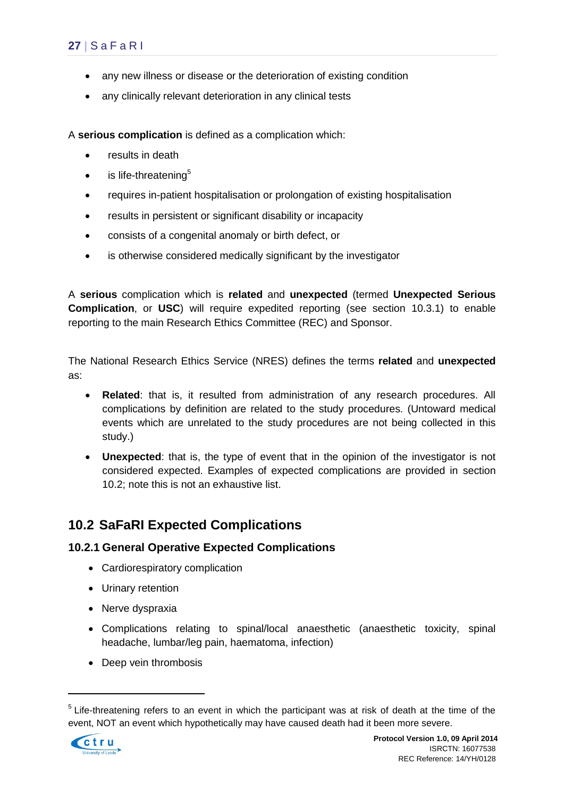- any new illness or disease or the deterioration of existing condition
- any clinically relevant deterioration in any clinical tests

A **serious complication** is defined as a complication which:

- results in death
- $\bullet$  is life-threatening<sup>5</sup>
- requires in-patient hospitalisation or prolongation of existing hospitalisation
- results in persistent or significant disability or incapacity
- consists of a congenital anomaly or birth defect, or
- is otherwise considered medically significant by the investigator

A **serious** complication which is **related** and **unexpected** (termed **Unexpected Serious Complication**, or **USC**) will require expedited reporting (see section [10.3.1\)](#page-33-1) to enable reporting to the main Research Ethics Committee (REC) and Sponsor.

The National Research Ethics Service (NRES) defines the terms **related** and **unexpected**  as:

- **Related**: that is, it resulted from administration of any research procedures. All complications by definition are related to the study procedures. (Untoward medical events which are unrelated to the study procedures are not being collected in this study.)
- **Unexpected**: that is, the type of event that in the opinion of the investigator is not considered expected. Examples of expected complications are provided in section [10.2;](#page-31-1) note this is not an exhaustive list.

## <span id="page-31-1"></span><span id="page-31-0"></span>**10.2 SaFaRI Expected Complications**

#### **10.2.1 General Operative Expected Complications**

- Cardiorespiratory complication
- Urinary retention
- Nerve dyspraxia
- Complications relating to spinal/local anaesthetic (anaesthetic toxicity, spinal headache, lumbar/leg pain, haematoma, infection)
- Deep vein thrombosis

<sup>&</sup>lt;sup>5</sup> Life-threatening refers to an event in which the participant was at risk of death at the time of the event, NOT an event which hypothetically may have caused death had it been more severe.



1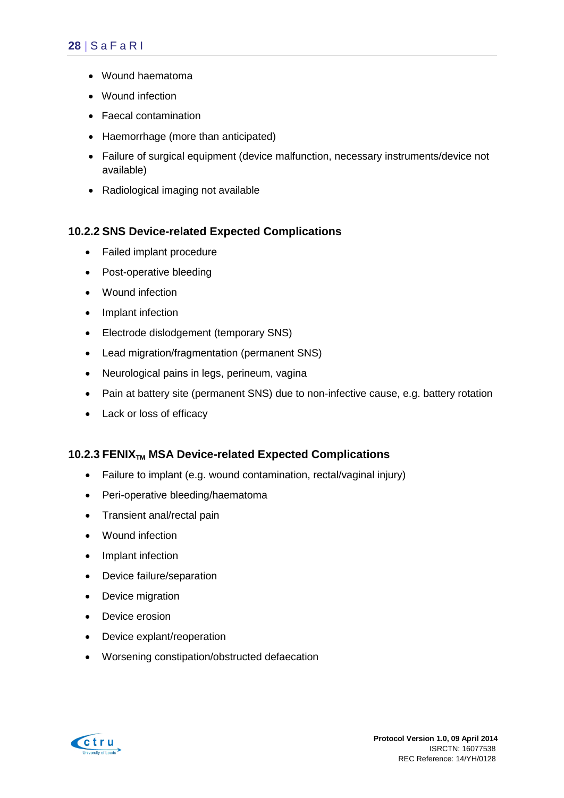- Wound haematoma
- Wound infection
- Faecal contamination
- Haemorrhage (more than anticipated)
- Failure of surgical equipment (device malfunction, necessary instruments/device not available)
- Radiological imaging not available

#### **10.2.2 SNS Device-related Expected Complications**

- Failed implant procedure
- Post-operative bleeding
- Wound infection
- Implant infection
- Electrode dislodgement (temporary SNS)
- Lead migration/fragmentation (permanent SNS)
- Neurological pains in legs, perineum, vagina
- Pain at battery site (permanent SNS) due to non-infective cause, e.g. battery rotation
- Lack or loss of efficacy

#### **10.2.3 FENIXTM MSA Device-related Expected Complications**

- Failure to implant (e.g. wound contamination, rectal/vaginal injury)
- Peri-operative bleeding/haematoma
- Transient anal/rectal pain
- Wound infection
- Implant infection
- Device failure/separation
- Device migration
- Device erosion
- Device explant/reoperation
- Worsening constipation/obstructed defaecation

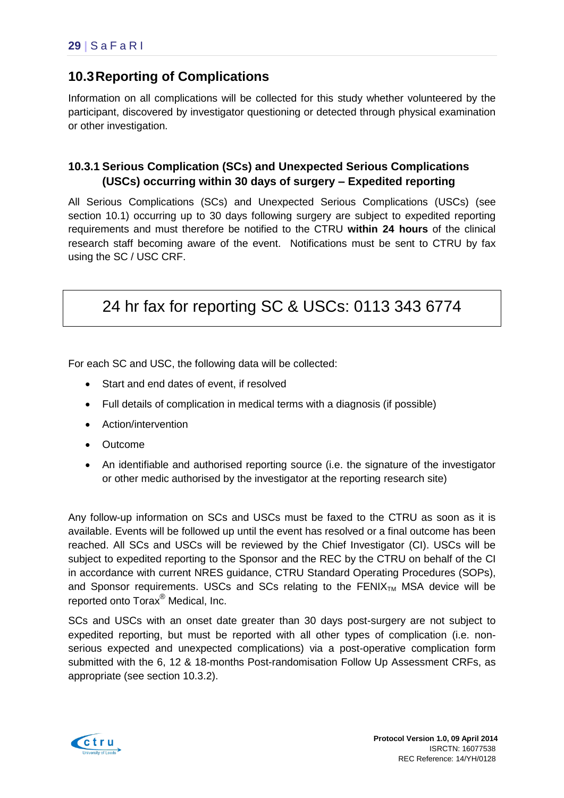# <span id="page-33-0"></span>**10.3Reporting of Complications**

Information on all complications will be collected for this study whether volunteered by the participant, discovered by investigator questioning or detected through physical examination or other investigation.

### <span id="page-33-1"></span>**10.3.1 Serious Complication (SCs) and Unexpected Serious Complications (USCs) occurring within 30 days of surgery – Expedited reporting**

All Serious Complications (SCs) and Unexpected Serious Complications (USCs) (see section 10.1) occurring up to 30 days following surgery are subject to expedited reporting requirements and must therefore be notified to the CTRU **within 24 hours** of the clinical research staff becoming aware of the event. Notifications must be sent to CTRU by fax using the SC / USC CRF.

# 24 hr fax for reporting SC & USCs: 0113 343 6774

For each SC and USC, the following data will be collected:

- Start and end dates of event, if resolved
- Full details of complication in medical terms with a diagnosis (if possible)
- Action/intervention
- Outcome
- An identifiable and authorised reporting source (i.e. the signature of the investigator or other medic authorised by the investigator at the reporting research site)

Any follow-up information on SCs and USCs must be faxed to the CTRU as soon as it is available. Events will be followed up until the event has resolved or a final outcome has been reached. All SCs and USCs will be reviewed by the Chief Investigator (CI). USCs will be subject to expedited reporting to the Sponsor and the REC by the CTRU on behalf of the CI in accordance with current NRES guidance, CTRU Standard Operating Procedures (SOPs), and Sponsor requirements. USCs and SCs relating to the  $FENIX_{TM}$  MSA device will be reported onto Torax® Medical, Inc.

SCs and USCs with an onset date greater than 30 days post-surgery are not subject to expedited reporting, but must be reported with all other types of complication (i.e. nonserious expected and unexpected complications) via a post-operative complication form submitted with the 6, 12 & 18-months Post-randomisation Follow Up Assessment CRFs, as appropriate (see section [10.3.2\)](#page-34-1).

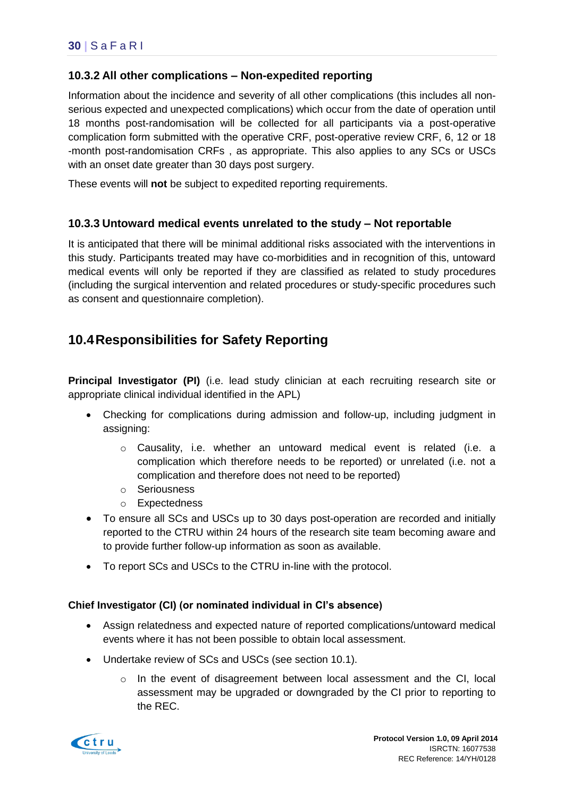#### <span id="page-34-1"></span>**10.3.2 All other complications – Non-expedited reporting**

Information about the incidence and severity of all other complications (this includes all nonserious expected and unexpected complications) which occur from the date of operation until 18 months post-randomisation will be collected for all participants via a post-operative complication form submitted with the operative CRF, post-operative review CRF, 6, 12 or 18 -month post-randomisation CRFs , as appropriate. This also applies to any SCs or USCs with an onset date greater than 30 days post surgery.

These events will **not** be subject to expedited reporting requirements.

#### **10.3.3 Untoward medical events unrelated to the study – Not reportable**

It is anticipated that there will be minimal additional risks associated with the interventions in this study. Participants treated may have co-morbidities and in recognition of this, untoward medical events will only be reported if they are classified as related to study procedures (including the surgical intervention and related procedures or study-specific procedures such as consent and questionnaire completion).

## <span id="page-34-0"></span>**10.4Responsibilities for Safety Reporting**

**Principal Investigator (PI)** (i.e. lead study clinician at each recruiting research site or appropriate clinical individual identified in the APL)

- Checking for complications during admission and follow-up, including judgment in assigning:
	- $\circ$  Causality, i.e. whether an untoward medical event is related (i.e. a complication which therefore needs to be reported) or unrelated (i.e. not a complication and therefore does not need to be reported)
	- o Seriousness
	- o Expectedness
- To ensure all SCs and USCs up to 30 days post-operation are recorded and initially reported to the CTRU within 24 hours of the research site team becoming aware and to provide further follow-up information as soon as available.
- To report SCs and USCs to the CTRU in-line with the protocol.

#### **Chief Investigator (CI) (or nominated individual in CI's absence)**

- Assign relatedness and expected nature of reported complications/untoward medical events where it has not been possible to obtain local assessment.
- Undertake review of SCs and USCs (see section [10.1\)](#page-30-3).
	- $\circ$  In the event of disagreement between local assessment and the CI, local assessment may be upgraded or downgraded by the CI prior to reporting to the REC.

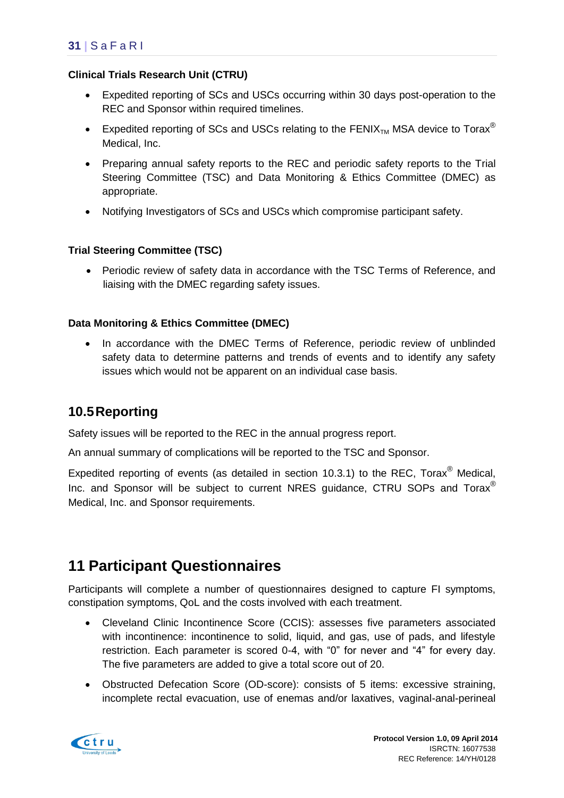#### **Clinical Trials Research Unit (CTRU)**

- Expedited reporting of SCs and USCs occurring within 30 days post-operation to the REC and Sponsor within required timelines.
- Expedited reporting of SCs and USCs relating to the FENIX<sub>TM</sub> MSA device to Torax<sup>®</sup> Medical, Inc.
- Preparing annual safety reports to the REC and periodic safety reports to the Trial Steering Committee (TSC) and Data Monitoring & Ethics Committee (DMEC) as appropriate.
- Notifying Investigators of SCs and USCs which compromise participant safety.

#### **Trial Steering Committee (TSC)**

 Periodic review of safety data in accordance with the TSC Terms of Reference, and liaising with the DMEC regarding safety issues.

#### **Data Monitoring & Ethics Committee (DMEC)**

 In accordance with the DMEC Terms of Reference, periodic review of unblinded safety data to determine patterns and trends of events and to identify any safety issues which would not be apparent on an individual case basis.

## <span id="page-35-0"></span>**10.5Reporting**

Safety issues will be reported to the REC in the annual progress report.

An annual summary of complications will be reported to the TSC and Sponsor.

Expedited reporting of events (as detailed in section [10.3.1\)](#page-33-1) to the REC. Torax<sup>®</sup> Medical. Inc. and Sponsor will be subject to current NRES guidance, CTRU SOPs and Torax<sup>®</sup> Medical, Inc. and Sponsor requirements.

# <span id="page-35-1"></span>**11 Participant Questionnaires**

Participants will complete a number of questionnaires designed to capture FI symptoms, constipation symptoms, QoL and the costs involved with each treatment.

- Cleveland Clinic Incontinence Score (CCIS): assesses five parameters associated with incontinence: incontinence to solid, liquid, and gas, use of pads, and lifestyle restriction. Each parameter is scored 0-4, with "0" for never and "4" for every day. The five parameters are added to give a total score out of 20.
- Obstructed Defecation Score (OD-score): consists of 5 items: excessive straining, incomplete rectal evacuation, use of enemas and/or laxatives, vaginal-anal-perineal

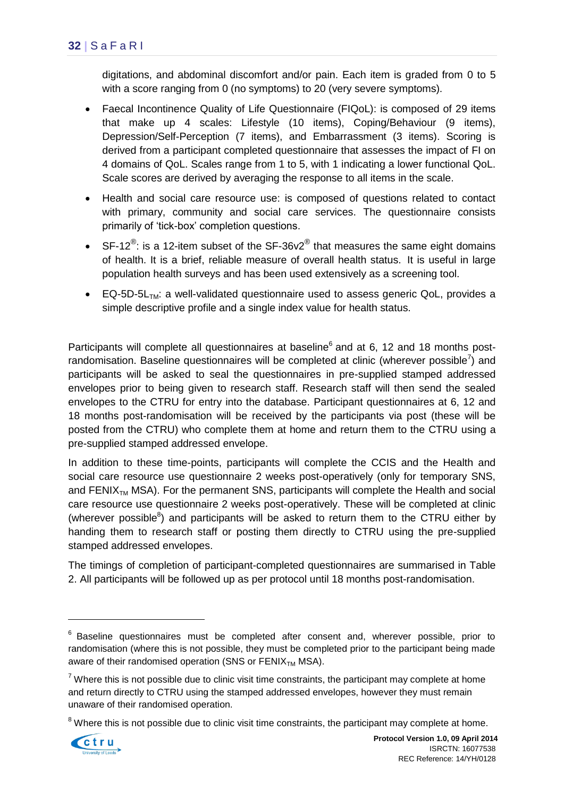digitations, and abdominal discomfort and/or pain. Each item is graded from 0 to 5 with a score ranging from 0 (no symptoms) to 20 (very severe symptoms).

- Faecal Incontinence Quality of Life Questionnaire (FIQoL): is composed of 29 items that make up 4 scales: Lifestyle (10 items), Coping/Behaviour (9 items), Depression/Self-Perception (7 items), and Embarrassment (3 items). Scoring is derived from a participant completed questionnaire that assesses the impact of FI on 4 domains of QoL. Scales range from 1 to 5, with 1 indicating a lower functional QoL. Scale scores are derived by averaging the response to all items in the scale.
- Health and social care resource use: is composed of questions related to contact with primary, community and social care services. The questionnaire consists primarily of 'tick-box' completion questions.
- SF-12<sup>®</sup>: is a 12-item subset of the SF-36v2<sup>®</sup> that measures the same eight domains of health. It is a brief, reliable measure of overall health status. It is useful in large population health surveys and has been used extensively as a screening tool.
- EQ-5D-5L<sub>TM</sub>: a well-validated questionnaire used to assess generic QoL, provides a simple descriptive profile and a single index value for health status.

Participants will complete all questionnaires at baseline<sup>6</sup> and at 6, 12 and 18 months postrandomisation. Baseline questionnaires will be completed at clinic (wherever possible<sup>7</sup>) and participants will be asked to seal the questionnaires in pre-supplied stamped addressed envelopes prior to being given to research staff. Research staff will then send the sealed envelopes to the CTRU for entry into the database. Participant questionnaires at 6, 12 and 18 months post-randomisation will be received by the participants via post (these will be posted from the CTRU) who complete them at home and return them to the CTRU using a pre-supplied stamped addressed envelope.

In addition to these time-points, participants will complete the CCIS and the Health and social care resource use questionnaire 2 weeks post-operatively (only for temporary SNS, and FENI $X_{TM}$  MSA). For the permanent SNS, participants will complete the Health and social care resource use questionnaire 2 weeks post-operatively. These will be completed at clinic (wherever possible $8$ ) and participants will be asked to return them to the CTRU either by handing them to research staff or posting them directly to CTRU using the pre-supplied stamped addressed envelopes.

The timings of completion of participant-completed questionnaires are summarised in Table 2. All participants will be followed up as per protocol until 18 months post-randomisation.

 $8$  Where this is not possible due to clinic visit time constraints, the participant may complete at home.



1

<sup>&</sup>lt;sup>6</sup> Baseline questionnaires must be completed after consent and, wherever possible, prior to randomisation (where this is not possible, they must be completed prior to the participant being made aware of their randomised operation (SNS or  $FENIX<sub>TM</sub> MSA$ ).

 $7$  Where this is not possible due to clinic visit time constraints, the participant may complete at home and return directly to CTRU using the stamped addressed envelopes, however they must remain unaware of their randomised operation.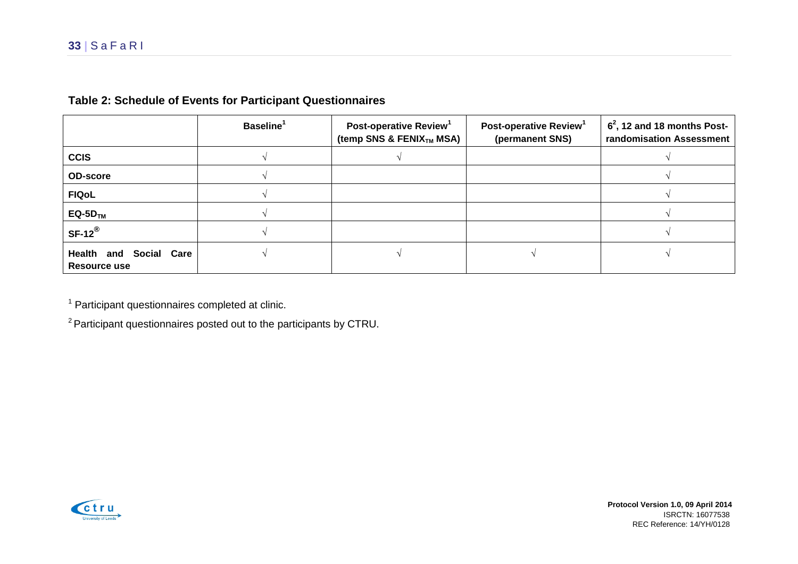|                                                  | Baseline <sup>1</sup> | Post-operative Review <sup>1</sup><br>(temp SNS & FENIX <sub>TM</sub> MSA) | Post-operative Review <sup>1</sup><br>(permanent SNS) | $62$ , 12 and 18 months Post-<br>randomisation Assessment |
|--------------------------------------------------|-----------------------|----------------------------------------------------------------------------|-------------------------------------------------------|-----------------------------------------------------------|
| <b>CCIS</b>                                      |                       |                                                                            |                                                       |                                                           |
| <b>OD-score</b>                                  |                       |                                                                            |                                                       |                                                           |
| <b>FIQoL</b>                                     |                       |                                                                            |                                                       |                                                           |
| $EQ-5DTM$                                        |                       |                                                                            |                                                       |                                                           |
| $SF-12^{\circledR}$                              |                       |                                                                            |                                                       |                                                           |
| <b>Health</b><br>and Social Care<br>Resource use |                       |                                                                            |                                                       |                                                           |

### **Table 2: Schedule of Events for Participant Questionnaires**

<sup>1</sup> Participant questionnaires completed at clinic.

<sup>2</sup> Participant questionnaires posted out to the participants by CTRU.



 **Protocol Version 1.0, 09 April 2014** ISRCTN: 16077538 REC Reference: 14/YH/0128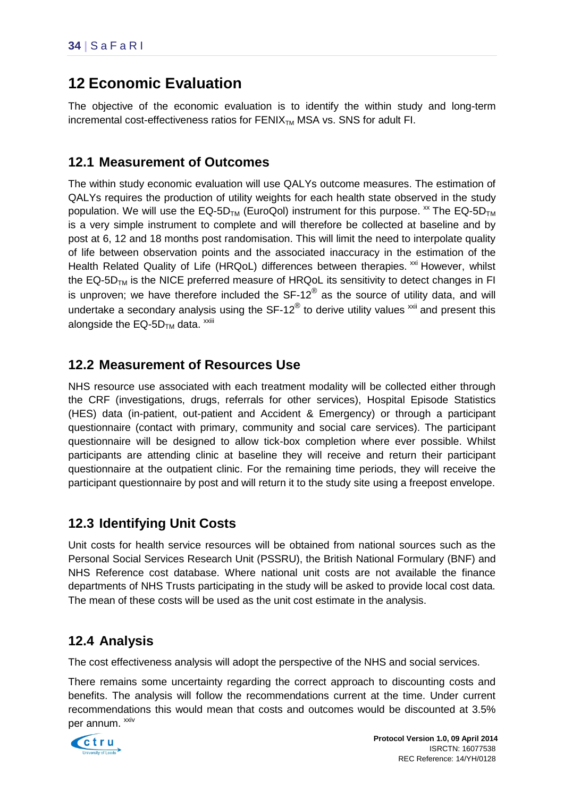# <span id="page-38-0"></span>**12 Economic Evaluation**

The objective of the economic evaluation is to identify the within study and long-term  $increment$  cost-effectiveness ratios for  $FENIX<sub>TM</sub>$  MSA vs. SNS for adult FI.

## <span id="page-38-1"></span>**12.1 Measurement of Outcomes**

The within study economic evaluation will use QALYs outcome measures. The estimation of QALYs requires the production of utility weights for each health state observed in the study population. We will use the EQ-5D<sub>TM</sub> (EuroQol) instrument for this purpose.  $\frac{x}{x}$  The EQ-5D<sub>TM</sub> is a very simple instrument to complete and will therefore be collected at baseline and by post at 6, 12 and 18 months post randomisation. This will limit the need to interpolate quality of life between observation points and the associated inaccuracy in the estimation of the Health Related Quality of Life (HRQoL) differences between therapies. <sup>xxi</sup> However, whilst the  $EQ-5D<sub>TM</sub>$  is the NICE preferred measure of HRQoL its sensitivity to detect changes in FI is unproven; we have therefore included the SF-12 $^{\circledR}$  as the source of utility data, and will undertake a secondary analysis using the SF-12 $^{\circledR}$  to derive utility values  $^{\text{xxii}}$  and present this alongside the  $\mathsf{EQ\text{-}5D_{TM}}$  data. <sup>xxiii</sup>

# <span id="page-38-2"></span>**12.2 Measurement of Resources Use**

NHS resource use associated with each treatment modality will be collected either through the CRF (investigations, drugs, referrals for other services), Hospital Episode Statistics (HES) data (in-patient, out-patient and Accident & Emergency) or through a participant questionnaire (contact with primary, community and social care services). The participant questionnaire will be designed to allow tick-box completion where ever possible. Whilst participants are attending clinic at baseline they will receive and return their participant questionnaire at the outpatient clinic. For the remaining time periods, they will receive the participant questionnaire by post and will return it to the study site using a freepost envelope.

## <span id="page-38-3"></span>**12.3 Identifying Unit Costs**

Unit costs for health service resources will be obtained from national sources such as the Personal Social Services Research Unit (PSSRU), the British National Formulary (BNF) and NHS Reference cost database. Where national unit costs are not available the finance departments of NHS Trusts participating in the study will be asked to provide local cost data. The mean of these costs will be used as the unit cost estimate in the analysis.

## <span id="page-38-4"></span>**12.4 Analysis**

The cost effectiveness analysis will adopt the perspective of the NHS and social services.

There remains some uncertainty regarding the correct approach to discounting costs and benefits. The analysis will follow the recommendations current at the time. Under current recommendations this would mean that costs and outcomes would be discounted at 3.5% per annum. <sup>xxiv</sup>

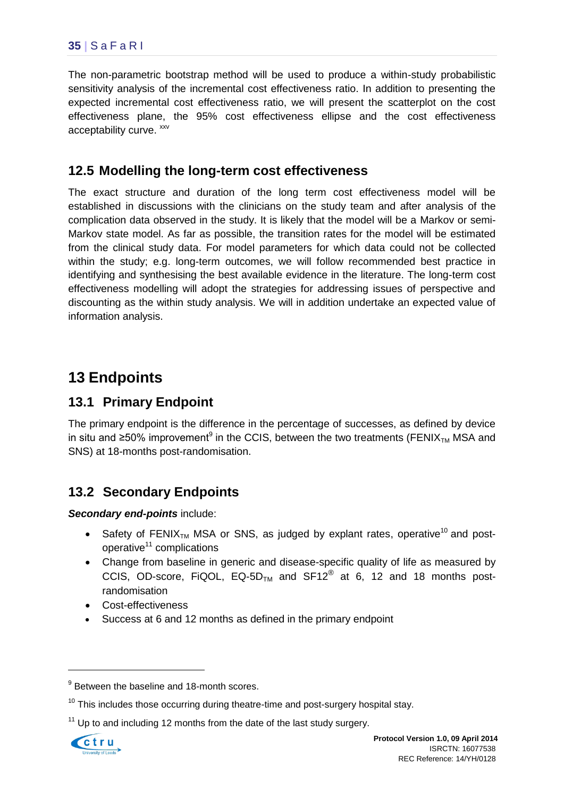The non-parametric bootstrap method will be used to produce a within-study probabilistic sensitivity analysis of the incremental cost effectiveness ratio. In addition to presenting the expected incremental cost effectiveness ratio, we will present the scatterplot on the cost effectiveness plane, the 95% cost effectiveness ellipse and the cost effectiveness acceptability curve. <sup>xxv</sup>

## <span id="page-39-0"></span>**12.5 Modelling the long-term cost effectiveness**

The exact structure and duration of the long term cost effectiveness model will be established in discussions with the clinicians on the study team and after analysis of the complication data observed in the study. It is likely that the model will be a Markov or semi-Markov state model. As far as possible, the transition rates for the model will be estimated from the clinical study data. For model parameters for which data could not be collected within the study; e.g. long-term outcomes, we will follow recommended best practice in identifying and synthesising the best available evidence in the literature. The long-term cost effectiveness modelling will adopt the strategies for addressing issues of perspective and discounting as the within study analysis. We will in addition undertake an expected value of information analysis.

# <span id="page-39-1"></span>**13 Endpoints**

## <span id="page-39-2"></span>**13.1 Primary Endpoint**

The primary endpoint is the difference in the percentage of successes, as defined by device in situ and ≥50% improvement<sup>9</sup> in the CCIS, between the two treatments (FENIX<sub>™</sub> MSA and SNS) at 18-months post-randomisation.

## <span id="page-39-3"></span>**13.2 Secondary Endpoints**

*Secondary end-points* include:

- Safety of FENIX<sub>TM</sub> MSA or SNS, as judged by explant rates, operative<sup>10</sup> and postoperative $11$  complications
- Change from baseline in generic and disease-specific quality of life as measured by CCIS, OD-score, FiQOL,  $EQ-5D_{TM}$  and  $SF12^{\circledR}$  at 6, 12 and 18 months postrandomisation
- Cost-effectiveness
- Success at 6 and 12 months as defined in the primary endpoint

 $11$  Up to and including 12 months from the date of the last study surgery.



1

 $9$  Between the baseline and 18-month scores.

 $10$  This includes those occurring during theatre-time and post-surgery hospital stay.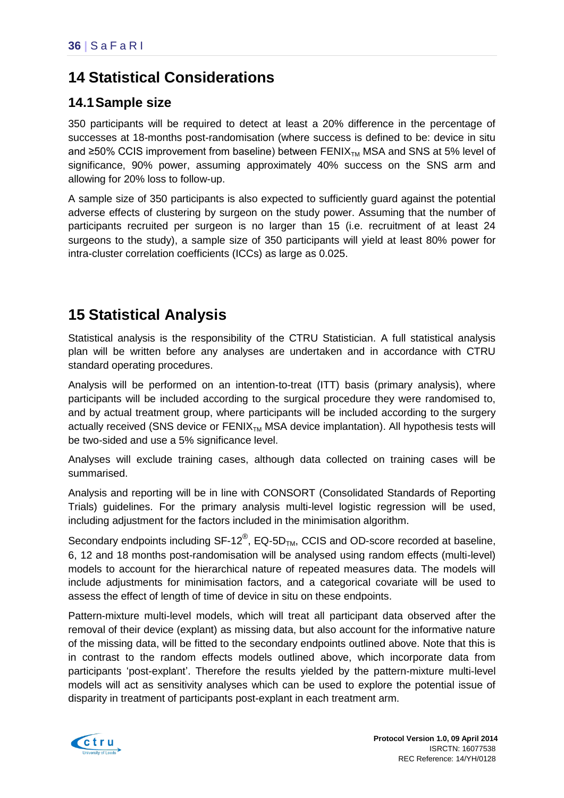# <span id="page-40-0"></span>**14 Statistical Considerations**

# <span id="page-40-1"></span>**14.1Sample size**

350 participants will be required to detect at least a 20% difference in the percentage of successes at 18-months post-randomisation (where success is defined to be: device in situ and ≥50% CCIS improvement from baseline) between  $FENIX<sub>TM</sub> MSA$  and SNS at 5% level of significance, 90% power, assuming approximately 40% success on the SNS arm and allowing for 20% loss to follow-up.

A sample size of 350 participants is also expected to sufficiently guard against the potential adverse effects of clustering by surgeon on the study power. Assuming that the number of participants recruited per surgeon is no larger than 15 (i.e. recruitment of at least 24 surgeons to the study), a sample size of 350 participants will yield at least 80% power for intra-cluster correlation coefficients (ICCs) as large as 0.025.

# <span id="page-40-2"></span>**15 Statistical Analysis**

Statistical analysis is the responsibility of the CTRU Statistician. A full statistical analysis plan will be written before any analyses are undertaken and in accordance with CTRU standard operating procedures.

Analysis will be performed on an intention-to-treat (ITT) basis (primary analysis), where participants will be included according to the surgical procedure they were randomised to, and by actual treatment group, where participants will be included according to the surgery actually received (SNS device or  $FENIX_{TM}$  MSA device implantation). All hypothesis tests will be two-sided and use a 5% significance level.

Analyses will exclude training cases, although data collected on training cases will be summarised.

Analysis and reporting will be in line with CONSORT (Consolidated Standards of Reporting Trials) guidelines. For the primary analysis multi-level logistic regression will be used, including adjustment for the factors included in the minimisation algorithm.

Secondary endpoints including  $SF-12^{\circledast}$ , EQ-5D<sub>TM</sub>, CCIS and OD-score recorded at baseline, 6, 12 and 18 months post-randomisation will be analysed using random effects (multi-level) models to account for the hierarchical nature of repeated measures data. The models will include adjustments for minimisation factors, and a categorical covariate will be used to assess the effect of length of time of device in situ on these endpoints.

Pattern-mixture multi-level models, which will treat all participant data observed after the removal of their device (explant) as missing data, but also account for the informative nature of the missing data, will be fitted to the secondary endpoints outlined above. Note that this is in contrast to the random effects models outlined above, which incorporate data from participants 'post-explant'. Therefore the results yielded by the pattern-mixture multi-level models will act as sensitivity analyses which can be used to explore the potential issue of disparity in treatment of participants post-explant in each treatment arm.

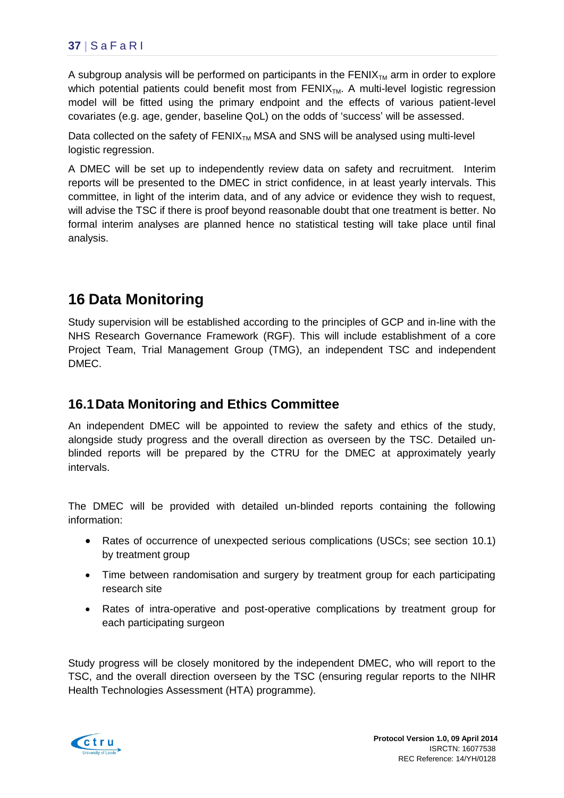A subgroup analysis will be performed on participants in the FENIX $_{TM}$  arm in order to explore which potential patients could benefit most from  $FENIX<sub>TM</sub>$ . A multi-level logistic regression model will be fitted using the primary endpoint and the effects of various patient-level covariates (e.g. age, gender, baseline QoL) on the odds of 'success' will be assessed.

Data collected on the safety of  $FENIX_{TM}$  MSA and SNS will be analysed using multi-level logistic regression.

A DMEC will be set up to independently review data on safety and recruitment. Interim reports will be presented to the DMEC in strict confidence, in at least yearly intervals. This committee, in light of the interim data, and of any advice or evidence they wish to request, will advise the TSC if there is proof beyond reasonable doubt that one treatment is better. No formal interim analyses are planned hence no statistical testing will take place until final analysis.

# <span id="page-41-0"></span>**16 Data Monitoring**

Study supervision will be established according to the principles of GCP and in-line with the NHS Research Governance Framework (RGF). This will include establishment of a core Project Team, Trial Management Group (TMG), an independent TSC and independent DMEC.

## <span id="page-41-1"></span>**16.1Data Monitoring and Ethics Committee**

An independent DMEC will be appointed to review the safety and ethics of the study, alongside study progress and the overall direction as overseen by the TSC. Detailed unblinded reports will be prepared by the CTRU for the DMEC at approximately yearly intervals.

The DMEC will be provided with detailed un-blinded reports containing the following information:

- Rates of occurrence of unexpected serious complications (USCs; see section [10.1\)](#page-30-3) by treatment group
- Time between randomisation and surgery by treatment group for each participating research site
- Rates of intra-operative and post-operative complications by treatment group for each participating surgeon

Study progress will be closely monitored by the independent DMEC, who will report to the TSC, and the overall direction overseen by the TSC (ensuring regular reports to the NIHR Health Technologies Assessment (HTA) programme).

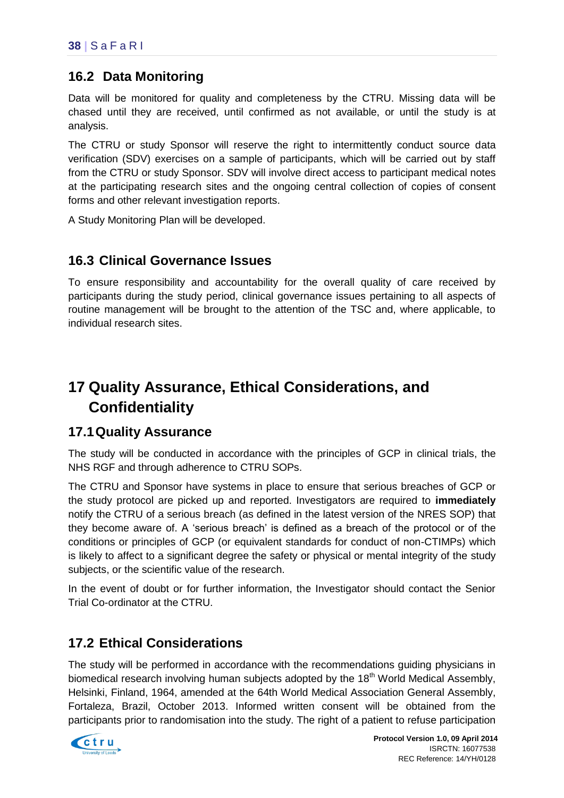## <span id="page-42-0"></span>**16.2 Data Monitoring**

Data will be monitored for quality and completeness by the CTRU. Missing data will be chased until they are received, until confirmed as not available, or until the study is at analysis.

The CTRU or study Sponsor will reserve the right to intermittently conduct source data verification (SDV) exercises on a sample of participants, which will be carried out by staff from the CTRU or study Sponsor. SDV will involve direct access to participant medical notes at the participating research sites and the ongoing central collection of copies of consent forms and other relevant investigation reports.

A Study Monitoring Plan will be developed.

## <span id="page-42-1"></span>**16.3 Clinical Governance Issues**

To ensure responsibility and accountability for the overall quality of care received by participants during the study period, clinical governance issues pertaining to all aspects of routine management will be brought to the attention of the TSC and, where applicable, to individual research sites.

# <span id="page-42-2"></span>**17 Quality Assurance, Ethical Considerations, and Confidentiality**

## <span id="page-42-3"></span>**17.1Quality Assurance**

The study will be conducted in accordance with the principles of GCP in clinical trials, the NHS RGF and through adherence to CTRU SOPs.

The CTRU and Sponsor have systems in place to ensure that serious breaches of GCP or the study protocol are picked up and reported. Investigators are required to **immediately** notify the CTRU of a serious breach (as defined in the latest version of the NRES SOP) that they become aware of. A 'serious breach' is defined as a breach of the protocol or of the conditions or principles of GCP (or equivalent standards for conduct of non-CTIMPs) which is likely to affect to a significant degree the safety or physical or mental integrity of the study subjects, or the scientific value of the research.

In the event of doubt or for further information, the Investigator should contact the Senior Trial Co-ordinator at the CTRU.

## <span id="page-42-4"></span>**17.2 Ethical Considerations**

The study will be performed in accordance with the recommendations guiding physicians in biomedical research involving human subjects adopted by the 18<sup>th</sup> World Medical Assembly, Helsinki, Finland, 1964, amended at the 64th World Medical Association General Assembly, Fortaleza, Brazil, October 2013. Informed written consent will be obtained from the participants prior to randomisation into the study. The right of a patient to refuse participation

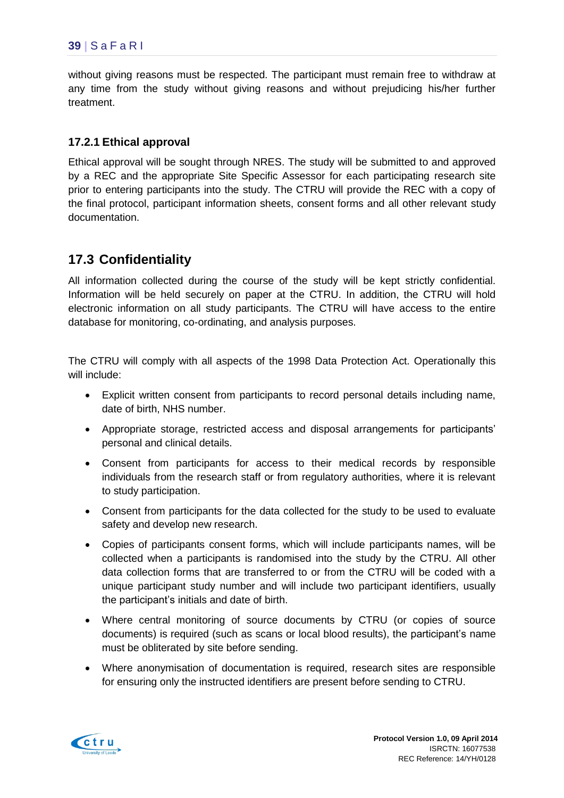without giving reasons must be respected. The participant must remain free to withdraw at any time from the study without giving reasons and without prejudicing his/her further treatment.

#### **17.2.1 Ethical approval**

Ethical approval will be sought through NRES. The study will be submitted to and approved by a REC and the appropriate Site Specific Assessor for each participating research site prior to entering participants into the study. The CTRU will provide the REC with a copy of the final protocol, participant information sheets, consent forms and all other relevant study documentation.

## <span id="page-43-0"></span>**17.3 Confidentiality**

All information collected during the course of the study will be kept strictly confidential. Information will be held securely on paper at the CTRU. In addition, the CTRU will hold electronic information on all study participants. The CTRU will have access to the entire database for monitoring, co-ordinating, and analysis purposes.

The CTRU will comply with all aspects of the 1998 Data Protection Act. Operationally this will include:

- Explicit written consent from participants to record personal details including name, date of birth, NHS number.
- Appropriate storage, restricted access and disposal arrangements for participants' personal and clinical details.
- Consent from participants for access to their medical records by responsible individuals from the research staff or from regulatory authorities, where it is relevant to study participation.
- Consent from participants for the data collected for the study to be used to evaluate safety and develop new research.
- Copies of participants consent forms, which will include participants names, will be collected when a participants is randomised into the study by the CTRU. All other data collection forms that are transferred to or from the CTRU will be coded with a unique participant study number and will include two participant identifiers, usually the participant's initials and date of birth.
- Where central monitoring of source documents by CTRU (or copies of source documents) is required (such as scans or local blood results), the participant's name must be obliterated by site before sending.
- Where anonymisation of documentation is required, research sites are responsible for ensuring only the instructed identifiers are present before sending to CTRU.

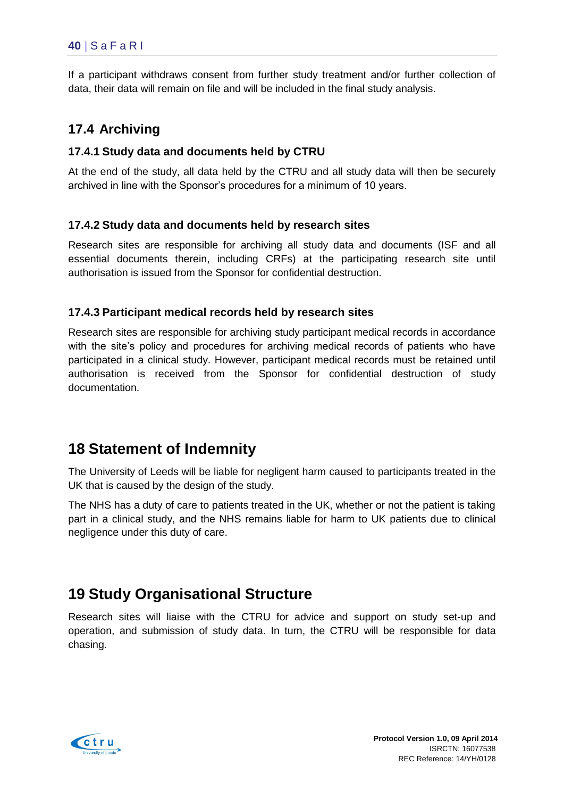If a participant withdraws consent from further study treatment and/or further collection of data, their data will remain on file and will be included in the final study analysis.

### <span id="page-44-0"></span>**17.4 Archiving**

#### **17.4.1 Study data and documents held by CTRU**

At the end of the study, all data held by the CTRU and all study data will then be securely archived in line with the Sponsor's procedures for a minimum of 10 years.

#### **17.4.2 Study data and documents held by research sites**

Research sites are responsible for archiving all study data and documents (ISF and all essential documents therein, including CRFs) at the participating research site until authorisation is issued from the Sponsor for confidential destruction.

#### **17.4.3 Participant medical records held by research sites**

Research sites are responsible for archiving study participant medical records in accordance with the site's policy and procedures for archiving medical records of patients who have participated in a clinical study. However, participant medical records must be retained until authorisation is received from the Sponsor for confidential destruction of study documentation.

# <span id="page-44-1"></span>**18 Statement of Indemnity**

The University of Leeds will be liable for negligent harm caused to participants treated in the UK that is caused by the design of the study.

The NHS has a duty of care to patients treated in the UK, whether or not the patient is taking part in a clinical study, and the NHS remains liable for harm to UK patients due to clinical negligence under this duty of care.

# <span id="page-44-2"></span>**19 Study Organisational Structure**

Research sites will liaise with the CTRU for advice and support on study set-up and operation, and submission of study data. In turn, the CTRU will be responsible for data chasing.

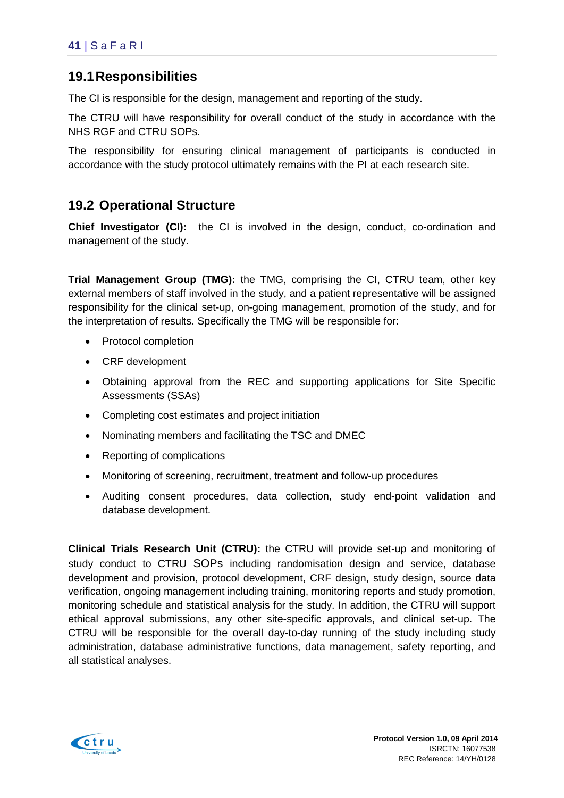## <span id="page-45-0"></span>**19.1Responsibilities**

The CI is responsible for the design, management and reporting of the study.

The CTRU will have responsibility for overall conduct of the study in accordance with the NHS RGF and CTRU SOPs.

The responsibility for ensuring clinical management of participants is conducted in accordance with the study protocol ultimately remains with the PI at each research site.

### <span id="page-45-1"></span>**19.2 Operational Structure**

**Chief Investigator (CI):** the CI is involved in the design, conduct, co-ordination and management of the study.

**Trial Management Group (TMG):** the TMG, comprising the CI, CTRU team, other key external members of staff involved in the study, and a patient representative will be assigned responsibility for the clinical set-up, on-going management, promotion of the study, and for the interpretation of results. Specifically the TMG will be responsible for:

- Protocol completion
- CRF development
- Obtaining approval from the REC and supporting applications for Site Specific Assessments (SSAs)
- Completing cost estimates and project initiation
- Nominating members and facilitating the TSC and DMEC
- Reporting of complications
- Monitoring of screening, recruitment, treatment and follow-up procedures
- Auditing consent procedures, data collection, study end-point validation and database development.

**Clinical Trials Research Unit (CTRU):** the CTRU will provide set-up and monitoring of study conduct to CTRU SOPs including randomisation design and service, database development and provision, protocol development, CRF design, study design, source data verification, ongoing management including training, monitoring reports and study promotion, monitoring schedule and statistical analysis for the study. In addition, the CTRU will support ethical approval submissions, any other site-specific approvals, and clinical set-up. The CTRU will be responsible for the overall day-to-day running of the study including study administration, database administrative functions, data management, safety reporting, and all statistical analyses.

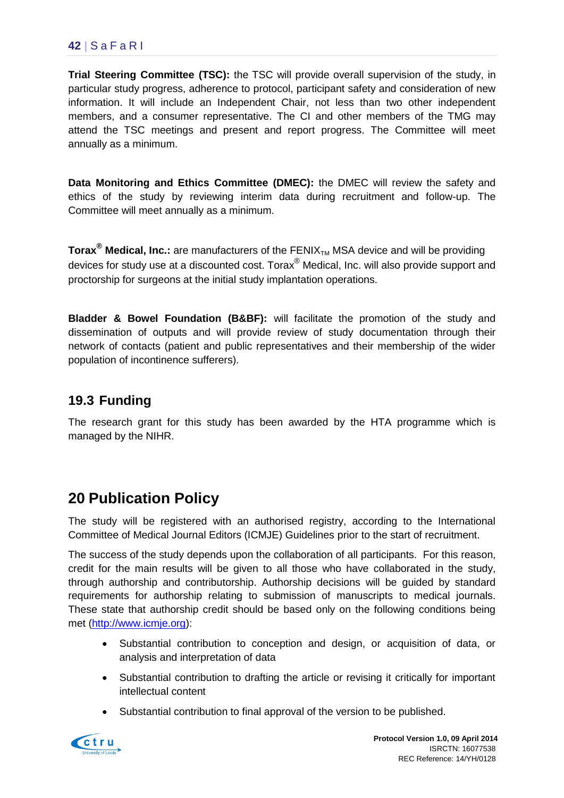### **42 |** S a F a R I

**Trial Steering Committee (TSC):** the TSC will provide overall supervision of the study, in particular study progress, adherence to protocol, participant safety and consideration of new information. It will include an Independent Chair, not less than two other independent members, and a consumer representative. The CI and other members of the TMG may attend the TSC meetings and present and report progress. The Committee will meet annually as a minimum.

**Data Monitoring and Ethics Committee (DMEC):** the DMEC will review the safety and ethics of the study by reviewing interim data during recruitment and follow-up. The Committee will meet annually as a minimum.

**Torax<sup>®</sup> Medical, Inc.:** are manufacturers of the FENIX<sub>TM</sub> MSA device and will be providing devices for study use at a discounted cost. Torax® Medical, Inc. will also provide support and proctorship for surgeons at the initial study implantation operations.

**Bladder & Bowel Foundation (B&BF):** will facilitate the promotion of the study and dissemination of outputs and will provide review of study documentation through their network of contacts (patient and public representatives and their membership of the wider population of incontinence sufferers).

## <span id="page-46-0"></span>**19.3 Funding**

The research grant for this study has been awarded by the HTA programme which is managed by the NIHR.

# <span id="page-46-1"></span>**20 Publication Policy**

The study will be registered with an authorised registry, according to the International Committee of Medical Journal Editors (ICMJE) Guidelines prior to the start of recruitment.

The success of the study depends upon the collaboration of all participants. For this reason, credit for the main results will be given to all those who have collaborated in the study, through authorship and contributorship. Authorship decisions will be guided by standard requirements for authorship relating to submission of manuscripts to medical journals. These state that authorship credit should be based only on the following conditions being met [\(http://www.icmje.org\)](http://www.icmje.org/):

- Substantial contribution to conception and design, or acquisition of data, or analysis and interpretation of data
- Substantial contribution to drafting the article or revising it critically for important intellectual content
- Substantial contribution to final approval of the version to be published.

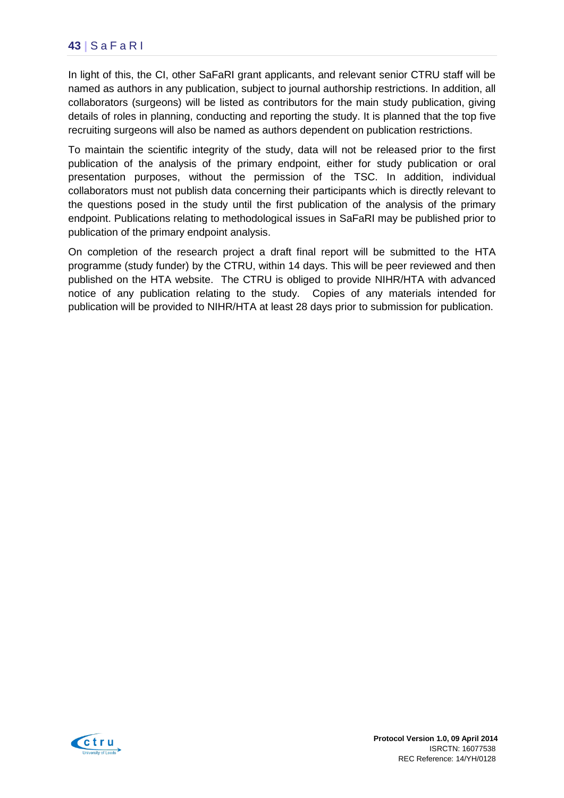In light of this, the CI, other SaFaRI grant applicants, and relevant senior CTRU staff will be named as authors in any publication, subject to journal authorship restrictions. In addition, all collaborators (surgeons) will be listed as contributors for the main study publication, giving details of roles in planning, conducting and reporting the study. It is planned that the top five recruiting surgeons will also be named as authors dependent on publication restrictions.

To maintain the scientific integrity of the study, data will not be released prior to the first publication of the analysis of the primary endpoint, either for study publication or oral presentation purposes, without the permission of the TSC. In addition, individual collaborators must not publish data concerning their participants which is directly relevant to the questions posed in the study until the first publication of the analysis of the primary endpoint. Publications relating to methodological issues in SaFaRI may be published prior to publication of the primary endpoint analysis.

On completion of the research project a draft final report will be submitted to the HTA programme (study funder) by the CTRU, within 14 days. This will be peer reviewed and then published on the HTA website. The CTRU is obliged to provide NIHR/HTA with advanced notice of any publication relating to the study. Copies of any materials intended for publication will be provided to NIHR/HTA at least 28 days prior to submission for publication.

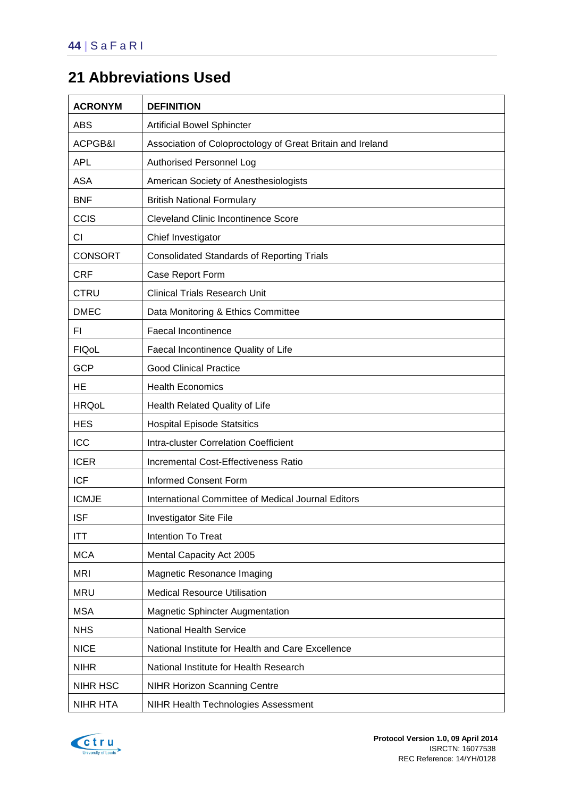# <span id="page-48-0"></span>**21 Abbreviations Used**

| <b>ACRONYM</b> | <b>DEFINITION</b>                                          |
|----------------|------------------------------------------------------------|
| ABS            | <b>Artificial Bowel Sphincter</b>                          |
| ACPGB&I        | Association of Coloproctology of Great Britain and Ireland |
| <b>APL</b>     | Authorised Personnel Log                                   |
| <b>ASA</b>     | American Society of Anesthesiologists                      |
| <b>BNF</b>     | <b>British National Formulary</b>                          |
| CCIS           | <b>Cleveland Clinic Incontinence Score</b>                 |
| CI             | Chief Investigator                                         |
| <b>CONSORT</b> | <b>Consolidated Standards of Reporting Trials</b>          |
| <b>CRF</b>     | Case Report Form                                           |
| <b>CTRU</b>    | <b>Clinical Trials Research Unit</b>                       |
| <b>DMEC</b>    | Data Monitoring & Ethics Committee                         |
| FI.            | <b>Faecal Incontinence</b>                                 |
| <b>FIQoL</b>   | Faecal Incontinence Quality of Life                        |
| <b>GCP</b>     | <b>Good Clinical Practice</b>                              |
| <b>HE</b>      | <b>Health Economics</b>                                    |
| <b>HRQoL</b>   | Health Related Quality of Life                             |
| <b>HES</b>     | <b>Hospital Episode Statsitics</b>                         |
| <b>ICC</b>     | Intra-cluster Correlation Coefficient                      |
| <b>ICER</b>    | <b>Incremental Cost-Effectiveness Ratio</b>                |
| <b>ICF</b>     | <b>Informed Consent Form</b>                               |
| <b>ICMJE</b>   | International Committee of Medical Journal Editors         |
| <b>ISF</b>     | <b>Investigator Site File</b>                              |
| ITT            | Intention To Treat                                         |
| <b>MCA</b>     | Mental Capacity Act 2005                                   |
| <b>MRI</b>     | Magnetic Resonance Imaging                                 |
| <b>MRU</b>     | <b>Medical Resource Utilisation</b>                        |
| <b>MSA</b>     | <b>Magnetic Sphincter Augmentation</b>                     |
| <b>NHS</b>     | <b>National Health Service</b>                             |
| <b>NICE</b>    | National Institute for Health and Care Excellence          |
| <b>NIHR</b>    | National Institute for Health Research                     |
| NIHR HSC       | <b>NIHR Horizon Scanning Centre</b>                        |
| NIHR HTA       | NIHR Health Technologies Assessment                        |

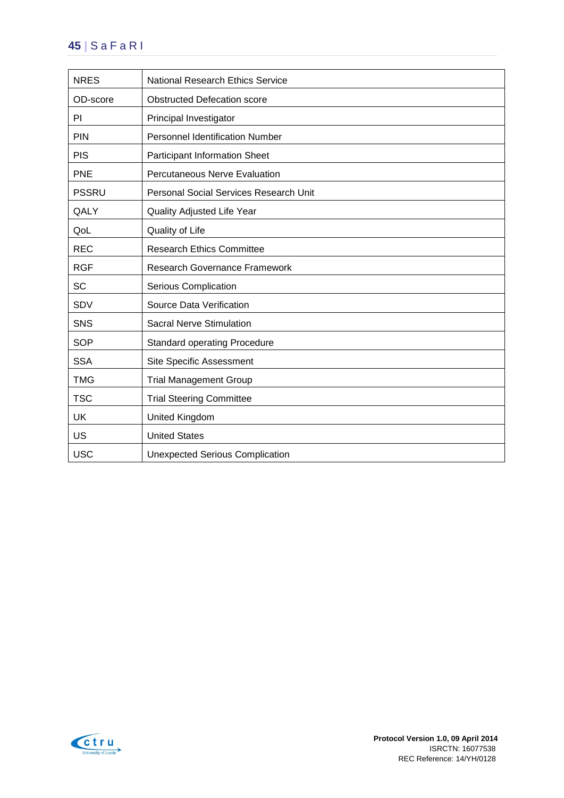## **45 |** S a F a R I

| <b>NRES</b>  | <b>National Research Ethics Service</b> |
|--------------|-----------------------------------------|
| OD-score     | <b>Obstructed Defecation score</b>      |
| PI           | Principal Investigator                  |
| PIN          | <b>Personnel Identification Number</b>  |
| <b>PIS</b>   | <b>Participant Information Sheet</b>    |
| <b>PNE</b>   | Percutaneous Nerve Evaluation           |
| <b>PSSRU</b> | Personal Social Services Research Unit  |
| QALY         | Quality Adjusted Life Year              |
| QoL          | Quality of Life                         |
| <b>REC</b>   | <b>Research Ethics Committee</b>        |
| <b>RGF</b>   | <b>Research Governance Framework</b>    |
| <b>SC</b>    | Serious Complication                    |
| SDV          | <b>Source Data Verification</b>         |
| <b>SNS</b>   | <b>Sacral Nerve Stimulation</b>         |
| <b>SOP</b>   | <b>Standard operating Procedure</b>     |
| <b>SSA</b>   | Site Specific Assessment                |
| <b>TMG</b>   | <b>Trial Management Group</b>           |
| <b>TSC</b>   | <b>Trial Steering Committee</b>         |
| UK           | United Kingdom                          |
| US           | <b>United States</b>                    |
| <b>USC</b>   | <b>Unexpected Serious Complication</b>  |

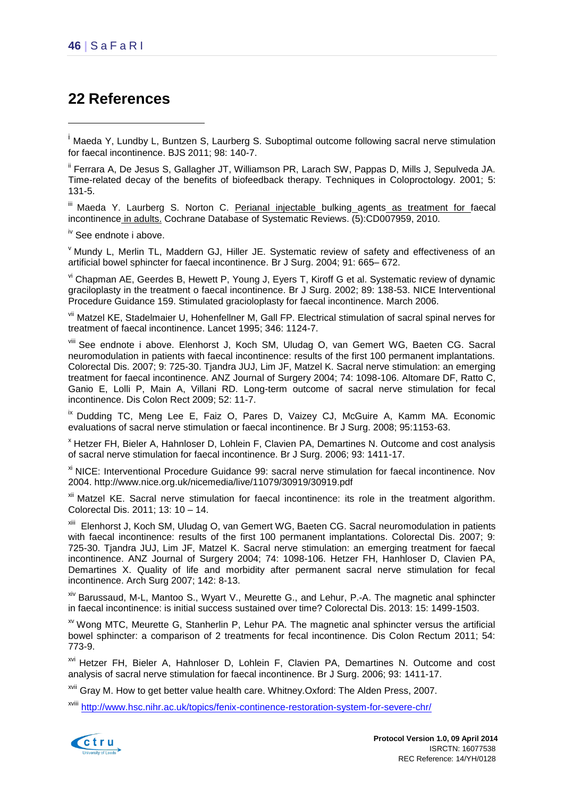1

# <span id="page-50-0"></span>**22 References**

ii Ferrara A, De Jesus S, Gallagher JT, Williamson PR, Larach SW, Pappas D, Mills J, Sepulveda JA. Time-related decay of the benefits of biofeedback therapy. Techniques in Coloproctology. 2001; 5: 131-5.

iii Maeda Y. Laurberg S. Norton C. [Perianal injectable bulking](http://ovidsp.uk.ovid.com/sp-3.8.0b/ovidweb.cgi?&S=IIPAPDJNCLHFDCHDFNPKEAEGPJPEAA00&Link+Set=S.sh.39%7c5%7csl_10) agents as treatment for faecal [incontinence](http://ovidsp.uk.ovid.com/sp-3.8.0b/ovidweb.cgi?&S=IIPAPDJNCLHFDCHDFNPKEAEGPJPEAA00&Link+Set=S.sh.39%7c5%7csl_10) in adults. Cochrane Database of Systematic Reviews. (5):CD007959, 2010.

iv See endnote i above.

<sup>v</sup> Mundy L, Merlin TL, Maddern GJ, Hiller JE. Systematic review of safety and effectiveness of an artificial bowel sphincter for faecal incontinence. Br J Surg. 2004; 91: 665– 672.

vi Chapman AE, Geerdes B, Hewett P, Young J, Eyers T, Kiroff G et al. Systematic review of dynamic graciloplasty in the treatment o faecal incontinence. Br J Surg. 2002; 89: 138-53. NICE Interventional Procedure Guidance 159. Stimulated gracioloplasty for faecal incontinence. March 2006.

vii Matzel KE, Stadelmaier U, Hohenfellner M, Gall FP. Electrical stimulation of sacral spinal nerves for treatment of faecal incontinence. Lancet 1995; 346: 1124-7.

viii See endnote i above. Elenhorst J, Koch SM, Uludag O, van Gemert WG, Baeten CG. Sacral neuromodulation in patients with faecal incontinence: results of the first 100 permanent implantations. Colorectal Dis. 2007; 9: 725-30. Tjandra JUJ, Lim JF, Matzel K. Sacral nerve stimulation: an emerging treatment for faecal incontinence. ANZ Journal of Surgery 2004; 74: 1098-106. Altomare DF, Ratto C, Ganio E, Lolli P, Main A, Villani RD. Long-term outcome of sacral nerve stimulation for fecal incontinence. Dis Colon Rect 2009; 52: 11-7.

<sup>ix</sup> Dudding TC, Meng Lee E, Faiz O, Pares D, Vaizey CJ, McGuire A, Kamm MA. Economic evaluations of sacral nerve stimulation or faecal incontinence. Br J Surg. 2008; 95:1153-63.

<sup>x</sup> Hetzer FH, Bieler A, Hahnloser D, Lohlein F, Clavien PA, Demartines N. Outcome and cost analysis of sacral nerve stimulation for faecal incontinence. Br J Surg. 2006; 93: 1411-17.

xi NICE: Interventional Procedure Guidance 99: sacral nerve stimulation for faecal incontinence. Nov 2004. http://www.nice.org.uk/nicemedia/live/11079/30919/30919.pdf

<sup>xii</sup> Matzel KE. Sacral nerve stimulation for faecal incontinence: its role in the treatment algorithm. Colorectal Dis. 2011; 13: 10 – 14.

xiii Elenhorst J, Koch SM, Uludag O, van Gemert WG, Baeten CG. Sacral neuromodulation in patients with faecal incontinence: results of the first 100 permanent implantations. Colorectal Dis. 2007: 9: 725-30. Tjandra JUJ, Lim JF, Matzel K. Sacral nerve stimulation: an emerging treatment for faecal incontinence. ANZ Journal of Surgery 2004; 74: 1098-106. Hetzer FH, Hanhloser D, Clavien PA, Demartines X. Quality of life and morbidity after permanent sacral nerve stimulation for fecal incontinence. Arch Surg 2007; 142: 8-13.

xiv Barussaud, M-L, Mantoo S., Wyart V., Meurette G., and Lehur, P.-A. The magnetic anal sphincter in faecal incontinence: is initial success sustained over time? Colorectal Dis. 2013: 15: 1499-1503.

xv Wong MTC, Meurette G, Stanherlin P, Lehur PA. The magnetic anal sphincter versus the artificial bowel sphincter: a comparison of 2 treatments for fecal incontinence. Dis Colon Rectum 2011; 54: 773-9.

xvi Hetzer FH, Bieler A, Hahnloser D, Lohlein F, Clavien PA, Demartines N. Outcome and cost analysis of sacral nerve stimulation for faecal incontinence. Br J Surg. 2006; 93: 1411-17.

xvii Gray M. How to get better value health care. Whitney.Oxford: The Alden Press, 2007.

xviii <http://www.hsc.nihr.ac.uk/topics/fenix-continence-restoration-system-for-severe-chr/>



<sup>&</sup>lt;sup>i</sup> Maeda Y, Lundby L, Buntzen S, Laurberg S. Suboptimal outcome following sacral nerve stimulation for faecal incontinence. BJS 2011; 98: 140-7.